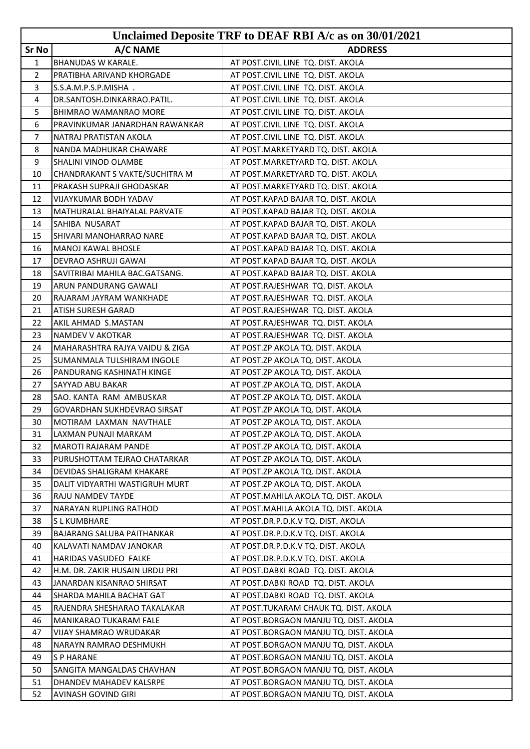|                |                                                         | Unclaimed Deposite TRF to DEAF RBI A/c as on 30/01/2021                        |
|----------------|---------------------------------------------------------|--------------------------------------------------------------------------------|
| Sr No          | A/C NAME                                                | <b>ADDRESS</b>                                                                 |
| $\mathbf{1}$   | <b>BHANUDAS W KARALE.</b>                               | AT POST.CIVIL LINE TQ. DIST. AKOLA                                             |
| $\overline{2}$ | PRATIBHA ARIVAND KHORGADE                               | AT POST.CIVIL LINE TQ. DIST. AKOLA                                             |
| 3              | S.S.A.M.P.S.P.MISHA.                                    | AT POST.CIVIL LINE TQ. DIST. AKOLA                                             |
| 4              | DR.SANTOSH.DINKARRAO.PATIL.                             | AT POST.CIVIL LINE TQ. DIST. AKOLA                                             |
| 5              | BHIMRAO WAMANRAO MORE                                   | AT POST.CIVIL LINE TQ. DIST. AKOLA                                             |
| 6              | PRAVINKUMAR JANARDHAN RAWANKAR                          | AT POST.CIVIL LINE TQ. DIST. AKOLA                                             |
| $\overline{7}$ | NATRAJ PRATISTAN AKOLA                                  | AT POST.CIVIL LINE TQ. DIST. AKOLA                                             |
| 8              | NANDA MADHUKAR CHAWARE                                  | AT POST.MARKETYARD TQ. DIST. AKOLA                                             |
| 9              | SHALINI VINOD OLAMBE                                    | AT POST.MARKETYARD TQ. DIST. AKOLA                                             |
| 10             | CHANDRAKANT S VAKTE/SUCHITRA M                          | AT POST.MARKETYARD TQ. DIST. AKOLA                                             |
| 11             | PRAKASH SUPRAJI GHODASKAR                               | AT POST.MARKETYARD TQ. DIST. AKOLA                                             |
| 12             | <b>VIJAYKUMAR BODH YADAV</b>                            | AT POST.KAPAD BAJAR TQ. DIST. AKOLA                                            |
| 13             | MATHURALAL BHAIYALAL PARVATE                            | AT POST.KAPAD BAJAR TQ. DIST. AKOLA                                            |
| 14             | SAHIBA NUSARAT                                          | AT POST.KAPAD BAJAR TQ. DIST. AKOLA                                            |
| 15             | SHIVARI MANOHARRAO NARE                                 | AT POST.KAPAD BAJAR TQ. DIST. AKOLA                                            |
| 16             | <b>MANOJ KAWAL BHOSLE</b>                               | AT POST.KAPAD BAJAR TQ. DIST. AKOLA                                            |
| 17             | DEVRAO ASHRUJI GAWAI                                    | AT POST.KAPAD BAJAR TQ. DIST. AKOLA                                            |
| 18             | SAVITRIBAI MAHILA BAC.GATSANG.                          | AT POST.KAPAD BAJAR TQ. DIST. AKOLA                                            |
| 19             | ARUN PANDURANG GAWALI                                   | AT POST.RAJESHWAR TQ. DIST. AKOLA                                              |
| 20             | RAJARAM JAYRAM WANKHADE                                 | AT POST.RAJESHWAR TQ. DIST. AKOLA                                              |
| 21             | ATISH SURESH GARAD                                      | AT POST.RAJESHWAR TQ. DIST. AKOLA                                              |
| 22             | AKIL AHMAD S.MASTAN                                     | AT POST.RAJESHWAR TQ. DIST. AKOLA                                              |
| 23             | NAMDEV V AKOTKAR                                        | AT POST.RAJESHWAR TQ. DIST. AKOLA                                              |
| 24             | MAHARASHTRA RAJYA VAIDU & ZIGA                          | AT POST.ZP AKOLA TQ. DIST. AKOLA                                               |
| 25             | SUMANMALA TULSHIRAM INGOLE                              | AT POST.ZP AKOLA TQ. DIST. AKOLA                                               |
| 26             | <b>PANDURANG KASHINATH KINGE</b>                        | AT POST.ZP AKOLA TQ. DIST. AKOLA                                               |
| 27             | SAYYAD ABU BAKAR                                        | AT POST.ZP AKOLA TQ. DIST. AKOLA                                               |
| 28             | SAO. KANTA RAM AMBUSKAR                                 | AT POST.ZP AKOLA TQ. DIST. AKOLA                                               |
| 29             | GOVARDHAN SUKHDEVRAO SIRSAT                             | AT POST.ZP AKOLA TQ. DIST. AKOLA                                               |
| 30             | MOTIRAM LAXMAN NAVTHALE                                 | AT POST.ZP AKOLA TQ. DIST. AKOLA                                               |
| 31             | LAXMAN PUNAJI MARKAM                                    | AT POST.ZP AKOLA TQ. DIST. AKOLA                                               |
| 32             | <b>MAROTI RAJARAM PANDE</b>                             | AT POST.ZP AKOLA TQ. DIST. AKOLA                                               |
| 33             | PURUSHOTTAM TEJRAO CHATARKAR                            | AT POST.ZP AKOLA TQ. DIST. AKOLA                                               |
| 34             | DEVIDAS SHALIGRAM KHAKARE                               | AT POST.ZP AKOLA TQ. DIST. AKOLA                                               |
| 35             | DALIT VIDYARTHI WASTIGRUH MURT                          | AT POST.ZP AKOLA TQ. DIST. AKOLA                                               |
| 36             | RAJU NAMDEV TAYDE                                       | AT POST. MAHILA AKOLA TO. DIST. AKOLA                                          |
| 37             | NARAYAN RUPLING RATHOD                                  | AT POST. MAHILA AKOLA TQ. DIST. AKOLA                                          |
| 38             | <b>SLKUMBHARE</b>                                       | AT POST.DR.P.D.K.V TQ. DIST. AKOLA                                             |
| 39             | <b>BAJARANG SALUBA PAITHANKAR</b>                       | AT POST.DR.P.D.K.V TQ. DIST. AKOLA                                             |
| 40             | KALAVATI NAMDAV JANOKAR                                 | AT POST.DR.P.D.K.V TQ. DIST. AKOLA                                             |
| 41<br>42       | HARIDAS VASUDEO FALKE<br>H.M. DR. ZAKIR HUSAIN URDU PRI | AT POST.DR.P.D.K.V TQ. DIST. AKOLA                                             |
|                |                                                         | AT POST.DABKI ROAD TQ. DIST. AKOLA                                             |
| 43             | JANARDAN KISANRAO SHIRSAT                               | AT POST.DABKI ROAD TQ. DIST. AKOLA                                             |
| 44             | SHARDA MAHILA BACHAT GAT                                | AT POST.DABKI ROAD TQ. DIST. AKOLA                                             |
| 45<br>46       | RAJENDRA SHESHARAO TAKALAKAR<br>MANIKARAO TUKARAM FALE  | AT POST.TUKARAM CHAUK TQ. DIST. AKOLA<br>AT POST.BORGAON MANJU TQ. DIST. AKOLA |
| 47             | <b>VIJAY SHAMRAO WRUDAKAR</b>                           | AT POST.BORGAON MANJU TQ. DIST. AKOLA                                          |
| 48             | NARAYN RAMRAO DESHMUKH                                  | AT POST.BORGAON MANJU TQ. DIST. AKOLA                                          |
| 49             | <b>SPHARANE</b>                                         | AT POST.BORGAON MANJU TQ. DIST. AKOLA                                          |
| 50             | SANGITA MANGALDAS CHAVHAN                               | AT POST.BORGAON MANJU TQ. DIST. AKOLA                                          |
| 51             | DHANDEV MAHADEV KALSRPE                                 | AT POST.BORGAON MANJU TQ. DIST. AKOLA                                          |
| 52             | AVINASH GOVIND GIRI                                     | AT POST.BORGAON MANJU TQ. DIST. AKOLA                                          |
|                |                                                         |                                                                                |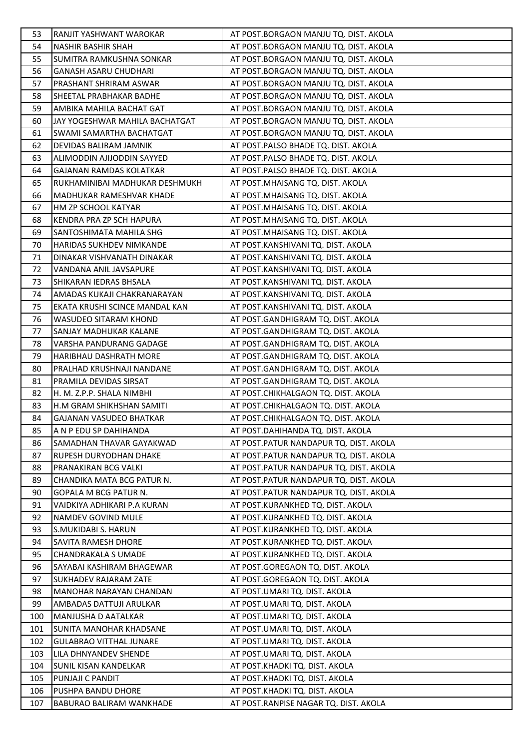| 53  | RANJIT YASHWANT WAROKAR        | AT POST.BORGAON MANJU TQ. DIST. AKOLA   |
|-----|--------------------------------|-----------------------------------------|
| 54  | NASHIR BASHIR SHAH             | AT POST.BORGAON MANJU TQ. DIST. AKOLA   |
| 55  | SUMITRA RAMKUSHNA SONKAR       | AT POST.BORGAON MANJU TQ. DIST. AKOLA   |
| 56  | <b>GANASH ASARU CHUDHARI</b>   | AT POST.BORGAON MANJU TQ. DIST. AKOLA   |
| 57  | PRASHANT SHRIRAM ASWAR         | AT POST.BORGAON MANJU TQ. DIST. AKOLA   |
| 58  | SHEETAL PRABHAKAR BADHE        | AT POST.BORGAON MANJU TQ. DIST. AKOLA   |
| 59  | AMBIKA MAHILA BACHAT GAT       | AT POST.BORGAON MANJU TQ. DIST. AKOLA   |
| 60  | JAY YOGESHWAR MAHILA BACHATGAT | AT POST.BORGAON MANJU TQ. DIST. AKOLA   |
| 61  | SWAMI SAMARTHA BACHATGAT       | AT POST.BORGAON MANJU TQ. DIST. AKOLA   |
| 62  | DEVIDAS BALIRAM JAMNIK         | AT POST.PALSO BHADE TQ. DIST. AKOLA     |
| 63  | ALIMODDIN AJIJODDIN SAYYED     | AT POST.PALSO BHADE TQ. DIST. AKOLA     |
| 64  | GAJANAN RAMDAS KOLATKAR        | AT POST.PALSO BHADE TQ. DIST. AKOLA     |
| 65  | RUKHAMINIBAI MADHUKAR DESHMUKH | AT POST.MHAISANG TQ. DIST. AKOLA        |
| 66  | MADHUKAR RAMESHVAR KHADE       | AT POST.MHAISANG TQ. DIST. AKOLA        |
| 67  | HM ZP SCHOOL KATYAR            | AT POST.MHAISANG TQ. DIST. AKOLA        |
| 68  | KENDRA PRA ZP SCH HAPURA       | AT POST.MHAISANG TQ. DIST. AKOLA        |
| 69  | SANTOSHIMATA MAHILA SHG        | AT POST.MHAISANG TQ. DIST. AKOLA        |
| 70  | HARIDAS SUKHDEV NIMKANDE       | AT POST.KANSHIVANI TQ. DIST. AKOLA      |
| 71  | DINAKAR VISHVANATH DINAKAR     | AT POST.KANSHIVANI TQ. DIST. AKOLA      |
| 72  | VANDANA ANIL JAVSAPURE         | AT POST.KANSHIVANI TQ. DIST. AKOLA      |
| 73  | SHIKARAN IEDRAS BHSALA         | AT POST.KANSHIVANI TQ. DIST. AKOLA      |
| 74  | AMADAS KUKAJI CHAKRANARAYAN    | AT POST.KANSHIVANI TQ. DIST. AKOLA      |
| 75  | EKATA KRUSHI SCINCE MANDAL KAN | AT POST.KANSHIVANI TQ. DIST. AKOLA      |
| 76  | WASUDEO SITARAM KHOND          | AT POST.GANDHIGRAM TQ. DIST. AKOLA      |
| 77  | SANJAY MADHUKAR KALANE         | AT POST.GANDHIGRAM TQ. DIST. AKOLA      |
| 78  | VARSHA PANDURANG GADAGE        | AT POST.GANDHIGRAM TQ. DIST. AKOLA      |
| 79  | HARIBHAU DASHRATH MORE         | AT POST.GANDHIGRAM TQ. DIST. AKOLA      |
| 80  | PRALHAD KRUSHNAJI NANDANE      | AT POST.GANDHIGRAM TQ. DIST. AKOLA      |
| 81  | PRAMILA DEVIDAS SIRSAT         | AT POST.GANDHIGRAM TQ. DIST. AKOLA      |
| 82  | H. M. Z.P.P. SHALA NIMBHI      | AT POST.CHIKHALGAON TQ. DIST. AKOLA     |
| 83  | H.M GRAM SHIKHSHAN SAMITI      | AT POST.CHIKHALGAON TQ. DIST. AKOLA     |
| 84  | GAJANAN VASUDEO BHATKAR        | AT POST.CHIKHALGAON TQ. DIST. AKOLA     |
| 85  | A N P EDU SP DAHIHANDA         | AT POST.DAHIHANDA TQ. DIST. AKOLA       |
| 86  | SAMADHAN THAVAR GAYAKWAD       | AT POST.PATUR NANDAPUR TQ. DIST. AKOLA  |
| 87  | <b>RUPESH DURYODHAN DHAKE</b>  | AT POST. PATUR NANDAPUR TO. DIST. AKOLA |
| 88  | PRANAKIRAN BCG VALKI           | AT POST.PATUR NANDAPUR TQ. DIST. AKOLA  |
| 89  | CHANDIKA MATA BCG PATUR N.     | AT POST.PATUR NANDAPUR TQ. DIST. AKOLA  |
| 90  | GOPALA M BCG PATUR N.          | AT POST.PATUR NANDAPUR TQ. DIST. AKOLA  |
| 91  | VAIDKIYA ADHIKARI P.A KURAN    | AT POST.KURANKHED TQ. DIST. AKOLA       |
| 92  | NAMDEV GOVIND MULE             | AT POST.KURANKHED TQ. DIST. AKOLA       |
| 93  | S.MUKIDABI S. HARUN            | AT POST.KURANKHED TQ. DIST. AKOLA       |
| 94  | SAVITA RAMESH DHORE            | AT POST.KURANKHED TQ. DIST. AKOLA       |
| 95  | <b>CHANDRAKALA S UMADE</b>     | AT POST.KURANKHED TQ. DIST. AKOLA       |
| 96  | SAYABAI KASHIRAM BHAGEWAR      | AT POST.GOREGAON TQ. DIST. AKOLA        |
| 97  | SUKHADEV RAJARAM ZATE          | AT POST.GOREGAON TQ. DIST. AKOLA        |
| 98  | MANOHAR NARAYAN CHANDAN        | AT POST.UMARI TQ. DIST. AKOLA           |
| 99  | AMBADAS DATTUJI ARULKAR        | AT POST.UMARI TQ. DIST. AKOLA           |
| 100 | MANJUSHA D AATALKAR            | AT POST.UMARI TQ. DIST. AKOLA           |
| 101 | SUNITA MANOHAR KHADSANE        | AT POST.UMARI TQ. DIST. AKOLA           |
| 102 | <b>GULABRAO VITTHAL JUNARE</b> | AT POST.UMARI TQ. DIST. AKOLA           |
| 103 | LILA DHNYANDEV SHENDE          | AT POST.UMARI TQ. DIST. AKOLA           |
| 104 | <b>SUNIL KISAN KANDELKAR</b>   | AT POST.KHADKI TQ. DIST. AKOLA          |
| 105 | PUNJAJI C PANDIT               | AT POST.KHADKI TQ. DIST. AKOLA          |
| 106 | PUSHPA BANDU DHORE             | AT POST.KHADKI TQ. DIST. AKOLA          |
| 107 | BABURAO BALIRAM WANKHADE       | AT POST.RANPISE NAGAR TQ. DIST. AKOLA   |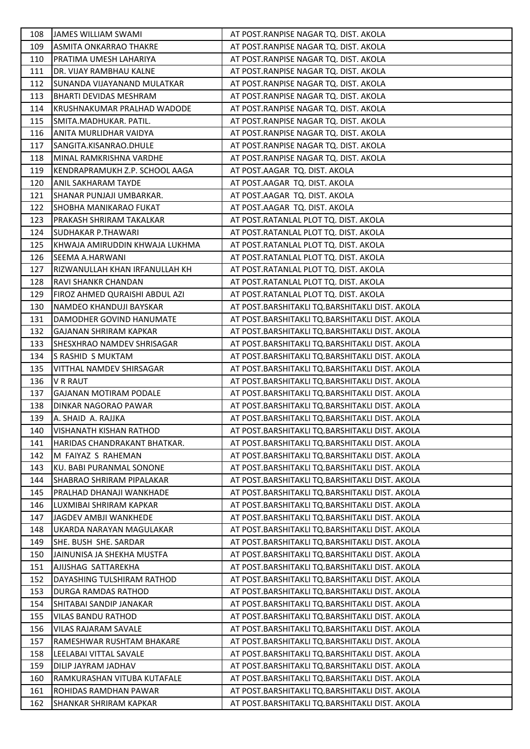| 108 | <b>JAMES WILLIAM SWAMI</b>     | AT POST.RANPISE NAGAR TQ. DIST. AKOLA          |
|-----|--------------------------------|------------------------------------------------|
| 109 | ASMITA ONKARRAO THAKRE         | AT POST.RANPISE NAGAR TQ. DIST. AKOLA          |
| 110 | PRATIMA UMESH LAHARIYA         | AT POST.RANPISE NAGAR TQ. DIST. AKOLA          |
| 111 | DR. VIJAY RAMBHAU KALNE        | AT POST.RANPISE NAGAR TQ. DIST. AKOLA          |
| 112 | SUNANDA VIJAYANAND MULATKAR    | AT POST.RANPISE NAGAR TQ. DIST. AKOLA          |
| 113 | BHARTI DEVIDAS MESHRAM         | AT POST.RANPISE NAGAR TQ. DIST. AKOLA          |
| 114 | KRUSHNAKUMAR PRALHAD WADODE    | AT POST.RANPISE NAGAR TQ. DIST. AKOLA          |
| 115 | SMITA.MADHUKAR. PATIL.         | AT POST.RANPISE NAGAR TQ. DIST. AKOLA          |
| 116 | ANITA MURLIDHAR VAIDYA         | AT POST.RANPISE NAGAR TQ. DIST. AKOLA          |
| 117 | SANGITA.KISANRAO.DHULE         | AT POST.RANPISE NAGAR TQ. DIST. AKOLA          |
| 118 | MINAL RAMKRISHNA VARDHE        | AT POST.RANPISE NAGAR TQ. DIST. AKOLA          |
| 119 | KENDRAPRAMUKH Z.P. SCHOOL AAGA | AT POST.AAGAR TQ. DIST. AKOLA                  |
| 120 | ANIL SAKHARAM TAYDE            | AT POST.AAGAR TQ. DIST. AKOLA                  |
| 121 | SHANAR PUNJAJI UMBARKAR.       | AT POST.AAGAR TQ. DIST. AKOLA                  |
| 122 | SHOBHA MANIKARAO FUKAT         | AT POST.AAGAR TQ. DIST. AKOLA                  |
| 123 | PRAKASH SHRIRAM TAKALKAR       | AT POST.RATANLAL PLOT TQ. DIST. AKOLA          |
| 124 | <b>SUDHAKAR P.THAWARI</b>      | AT POST.RATANLAL PLOT TQ. DIST. AKOLA          |
| 125 | KHWAJA AMIRUDDIN KHWAJA LUKHMA | AT POST.RATANLAL PLOT TQ. DIST. AKOLA          |
| 126 | SEEMA A.HARWANI                | AT POST.RATANLAL PLOT TQ. DIST. AKOLA          |
| 127 | RIZWANULLAH KHAN IRFANULLAH KH | AT POST.RATANLAL PLOT TQ. DIST. AKOLA          |
| 128 | RAVI SHANKR CHANDAN            | AT POST.RATANLAL PLOT TQ. DIST. AKOLA          |
| 129 | FIROZ AHMED QURAISHI ABDUL AZI | AT POST.RATANLAL PLOT TQ. DIST. AKOLA          |
| 130 | NAMDEO KHANDUJI BAYSKAR        | AT POST.BARSHITAKLI TQ.BARSHITAKLI DIST. AKOLA |
| 131 | DAMODHER GOVIND HANUMATE       | AT POST.BARSHITAKLI TQ.BARSHITAKLI DIST. AKOLA |
| 132 | GAJANAN SHRIRAM KAPKAR         | AT POST.BARSHITAKLI TQ.BARSHITAKLI DIST. AKOLA |
| 133 | SHESXHRAO NAMDEV SHRISAGAR     | AT POST.BARSHITAKLI TQ.BARSHITAKLI DIST. AKOLA |
| 134 | S RASHID S MUKTAM              | AT POST.BARSHITAKLI TQ.BARSHITAKLI DIST. AKOLA |
| 135 | VITTHAL NAMDEV SHIRSAGAR       | AT POST.BARSHITAKLI TQ.BARSHITAKLI DIST. AKOLA |
| 136 | <b>V R RAUT</b>                | AT POST.BARSHITAKLI TQ.BARSHITAKLI DIST. AKOLA |
| 137 | <b>GAJANAN MOTIRAM PODALE</b>  | AT POST.BARSHITAKLI TQ.BARSHITAKLI DIST. AKOLA |
| 138 | DINKAR NAGORAO PAWAR           | AT POST.BARSHITAKLI TQ.BARSHITAKLI DIST. AKOLA |
| 139 | A. SHAID A. RAJJKA             | AT POST.BARSHITAKLI TQ.BARSHITAKLI DIST. AKOLA |
| 140 | <b>VISHANATH KISHAN RATHOD</b> | AT POST.BARSHITAKLI TQ.BARSHITAKLI DIST. AKOLA |
| 141 | HARIDAS CHANDRAKANT BHATKAR.   | AT POST.BARSHITAKLI TQ.BARSHITAKLI DIST. AKOLA |
| 142 | M FAIYAZ S RAHEMAN             | AT POST.BARSHITAKLI TQ.BARSHITAKLI DIST. AKOLA |
| 143 | KU. BABI PURANMAL SONONE       | AT POST.BARSHITAKLI TQ.BARSHITAKLI DIST. AKOLA |
| 144 | SHABRAO SHRIRAM PIPALAKAR      | AT POST.BARSHITAKLI TQ.BARSHITAKLI DIST. AKOLA |
| 145 | PRALHAD DHANAJI WANKHADE       | AT POST.BARSHITAKLI TQ.BARSHITAKLI DIST. AKOLA |
| 146 | LUXMIBAI SHRIRAM KAPKAR        | AT POST.BARSHITAKLI TQ.BARSHITAKLI DIST. AKOLA |
| 147 | JAGDEV AMBJI WANKHEDE          | AT POST.BARSHITAKLI TQ.BARSHITAKLI DIST. AKOLA |
| 148 | UKARDA NARAYAN MAGULAKAR       | AT POST.BARSHITAKLI TQ.BARSHITAKLI DIST. AKOLA |
| 149 | SHE. BUSH SHE. SARDAR          | AT POST.BARSHITAKLI TQ.BARSHITAKLI DIST. AKOLA |
| 150 | JAINUNISA JA SHEKHA MUSTFA     | AT POST.BARSHITAKLI TQ.BARSHITAKLI DIST. AKOLA |
| 151 | AJIJSHAG SATTAREKHA            | AT POST.BARSHITAKLI TQ.BARSHITAKLI DIST. AKOLA |
| 152 | DAYASHING TULSHIRAM RATHOD     | AT POST.BARSHITAKLI TQ.BARSHITAKLI DIST. AKOLA |
| 153 | DURGA RAMDAS RATHOD            | AT POST.BARSHITAKLI TQ.BARSHITAKLI DIST. AKOLA |
| 154 | SHITABAI SANDIP JANAKAR        | AT POST.BARSHITAKLI TQ.BARSHITAKLI DIST. AKOLA |
| 155 | VILAS BANDU RATHOD             | AT POST.BARSHITAKLI TQ.BARSHITAKLI DIST. AKOLA |
| 156 | VILAS RAJARAM SAVALE           | AT POST.BARSHITAKLI TQ.BARSHITAKLI DIST. AKOLA |
| 157 | RAMESHWAR RUSHTAM BHAKARE      | AT POST.BARSHITAKLI TQ.BARSHITAKLI DIST. AKOLA |
| 158 | LEELABAI VITTAL SAVALE         | AT POST.BARSHITAKLI TQ.BARSHITAKLI DIST. AKOLA |
| 159 | DILIP JAYRAM JADHAV            | AT POST.BARSHITAKLI TQ.BARSHITAKLI DIST. AKOLA |
| 160 | RAMKURASHAN VITUBA KUTAFALE    | AT POST.BARSHITAKLI TQ.BARSHITAKLI DIST. AKOLA |
| 161 | ROHIDAS RAMDHAN PAWAR          | AT POST.BARSHITAKLI TQ.BARSHITAKLI DIST. AKOLA |
| 162 | SHANKAR SHRIRAM KAPKAR         | AT POST.BARSHITAKLI TQ.BARSHITAKLI DIST. AKOLA |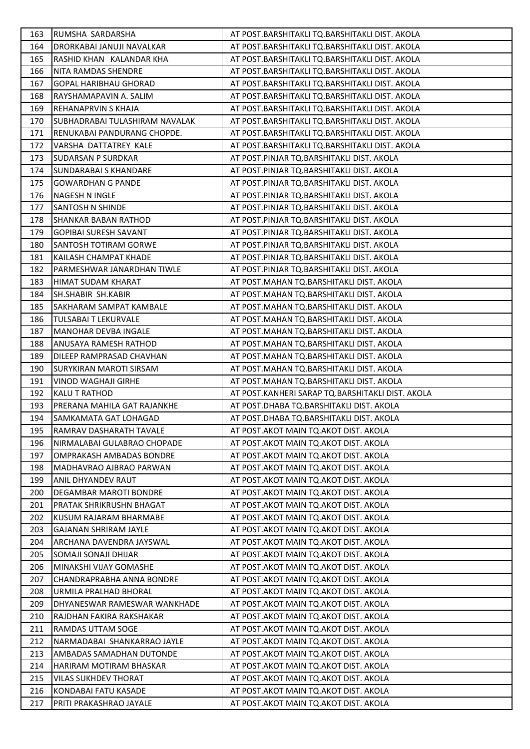| 163 | RUMSHA SARDARSHA                | AT POST.BARSHITAKLI TQ.BARSHITAKLI DIST. AKOLA   |
|-----|---------------------------------|--------------------------------------------------|
| 164 | DRORKABAI JANUJI NAVALKAR       | AT POST.BARSHITAKLI TQ.BARSHITAKLI DIST. AKOLA   |
| 165 | RASHID KHAN KALANDAR KHA        | AT POST.BARSHITAKLI TQ.BARSHITAKLI DIST. AKOLA   |
| 166 | NITA RAMDAS SHENDRE             | AT POST.BARSHITAKLI TQ.BARSHITAKLI DIST. AKOLA   |
| 167 | <b>GOPAL HARIBHAU GHORAD</b>    | AT POST.BARSHITAKLI TQ.BARSHITAKLI DIST. AKOLA   |
| 168 | RAYSHAMAPAVIN A. SALIM          | AT POST.BARSHITAKLI TQ.BARSHITAKLI DIST. AKOLA   |
| 169 | <b>REHANAPRVIN S KHAJA</b>      | AT POST.BARSHITAKLI TQ.BARSHITAKLI DIST. AKOLA   |
| 170 | SUBHADRABAI TULASHIRAM NAVALAK  | AT POST.BARSHITAKLI TQ.BARSHITAKLI DIST. AKOLA   |
| 171 | RENUKABAI PANDURANG CHOPDE.     | AT POST.BARSHITAKLI TQ.BARSHITAKLI DIST. AKOLA   |
| 172 | VARSHA DATTATREY KALE           | AT POST.BARSHITAKLI TQ.BARSHITAKLI DIST. AKOLA   |
| 173 | <b>SUDARSAN P SURDKAR</b>       | AT POST.PINJAR TQ.BARSHITAKLI DIST. AKOLA        |
| 174 | <b>SUNDARABAI S KHANDARE</b>    | AT POST.PINJAR TQ.BARSHITAKLI DIST. AKOLA        |
| 175 | <b>GOWARDHAN G PANDE</b>        | AT POST.PINJAR TQ.BARSHITAKLI DIST. AKOLA        |
| 176 | NAGESH N INGLE                  | AT POST.PINJAR TQ.BARSHITAKLI DIST. AKOLA        |
| 177 | <b>SANTOSH N SHINDE</b>         | AT POST.PINJAR TQ.BARSHITAKLI DIST. AKOLA        |
| 178 | <b>SHANKAR BABAN RATHOD</b>     | AT POST.PINJAR TQ.BARSHITAKLI DIST. AKOLA        |
| 179 | <b>GOPIBAI SURESH SAVANT</b>    | AT POST.PINJAR TQ.BARSHITAKLI DIST. AKOLA        |
| 180 | SANTOSH TOTIRAM GORWE           | AT POST.PINJAR TQ.BARSHITAKLI DIST. AKOLA        |
| 181 | KAILASH CHAMPAT KHADE           | AT POST.PINJAR TQ.BARSHITAKLI DIST. AKOLA        |
| 182 | PARMESHWAR JANARDHAN TIWLE      | AT POST.PINJAR TQ.BARSHITAKLI DIST. AKOLA        |
| 183 | HIMAT SUDAM KHARAT              | AT POST.MAHAN TQ.BARSHITAKLI DIST. AKOLA         |
| 184 | SH.SHABIR SH.KABIR              | AT POST.MAHAN TQ.BARSHITAKLI DIST. AKOLA         |
| 185 | SAKHARAM SAMPAT KAMBALE         | AT POST.MAHAN TQ.BARSHITAKLI DIST. AKOLA         |
| 186 | TULSABAI T LEKURVALE            | AT POST.MAHAN TQ.BARSHITAKLI DIST. AKOLA         |
| 187 | MANOHAR DEVBA INGALE            | AT POST.MAHAN TQ.BARSHITAKLI DIST. AKOLA         |
| 188 | ANUSAYA RAMESH RATHOD           | AT POST.MAHAN TQ.BARSHITAKLI DIST. AKOLA         |
| 189 | DILEEP RAMPRASAD CHAVHAN        | AT POST.MAHAN TQ.BARSHITAKLI DIST. AKOLA         |
| 190 | SURYKIRAN MAROTI SIRSAM         | AT POST.MAHAN TQ.BARSHITAKLI DIST. AKOLA         |
| 191 | VINOD WAGHAJI GIRHE             | AT POST.MAHAN TQ.BARSHITAKLI DIST. AKOLA         |
| 192 | KALU T RATHOD                   | AT POST.KANHERI SARAP TQ.BARSHITAKLI DIST. AKOLA |
| 193 | PRERANA MAHILA GAT RAJANKHE     | AT POST.DHABA TQ.BARSHITAKLI DIST. AKOLA         |
| 194 | SAMKAMATA GAT LOHAGAD           | AT POST.DHABA TQ.BARSHITAKLI DIST. AKOLA         |
| 195 | RAMRAV DASHARATH TAVALE         | AT POST. AKOT MAIN TO. AKOT DIST. AKOLA          |
| 196 | NIRMALABAI GULABRAO CHOPADE     | AT POST. AKOT MAIN TO. AKOT DIST. AKOLA          |
| 197 | OMPRAKASH AMBADAS BONDRE        | AT POST.AKOT MAIN TO.AKOT DIST. AKOLA            |
| 198 | MADHAVRAO AJBRAO PARWAN         | AT POST.AKOT MAIN TO.AKOT DIST. AKOLA            |
| 199 | <b>ANIL DHYANDEV RAUT</b>       | AT POST. AKOT MAIN TO. AKOT DIST. AKOLA          |
| 200 | DEGAMBAR MAROTI BONDRE          | AT POST. AKOT MAIN TO. AKOT DIST. AKOLA          |
| 201 | PRATAK SHRIKRUSHN BHAGAT        | AT POST.AKOT MAIN TO.AKOT DIST. AKOLA            |
| 202 | KUSUM RAJARAM BHARMABE          | AT POST. AKOT MAIN TO. AKOT DIST. AKOLA          |
| 203 | <b>GAJANAN SHRIRAM JAYLE</b>    | AT POST.AKOT MAIN TO.AKOT DIST. AKOLA            |
| 204 | ARCHANA DAVENDRA JAYSWAL        | AT POST.AKOT MAIN TQ.AKOT DIST. AKOLA            |
| 205 | SOMAJI SONAJI DHIJAR            | AT POST. AKOT MAIN TO. AKOT DIST. AKOLA          |
| 206 | MINAKSHI VIJAY GOMASHE          | AT POST.AKOT MAIN TQ.AKOT DIST. AKOLA            |
| 207 | CHANDRAPRABHA ANNA BONDRE       | AT POST.AKOT MAIN TO AKOT DIST. AKOLA            |
| 208 | URMILA PRALHAD BHORAL           | AT POST. AKOT MAIN TO. AKOT DIST. AKOLA          |
| 209 | DHYANESWAR RAMESWAR WANKHADE    | AT POST.AKOT MAIN TO.AKOT DIST. AKOLA            |
| 210 | RAJDHAN FAKIRA RAKSHAKAR        | AT POST.AKOT MAIN TQ.AKOT DIST. AKOLA            |
| 211 | <b>RAMDAS UTTAM SOGE</b>        | AT POST.AKOT MAIN TO.AKOT DIST. AKOLA            |
| 212 | NARMADABAI SHANKARRAO JAYLE     | AT POST. AKOT MAIN TO. AKOT DIST. AKOLA          |
| 213 | <b>AMBADAS SAMADHAN DUTONDE</b> | AT POST. AKOT MAIN TO. AKOT DIST. AKOLA          |
| 214 | HARIRAM MOTIRAM BHASKAR         | AT POST.AKOT MAIN TO.AKOT DIST. AKOLA            |
| 215 | <b>VILAS SUKHDEV THORAT</b>     | AT POST.AKOT MAIN TQ.AKOT DIST. AKOLA            |
| 216 | KONDABAI FATU KASADE            | AT POST. AKOT MAIN TO. AKOT DIST. AKOLA          |
| 217 | PRITI PRAKASHRAO JAYALE         | AT POST. AKOT MAIN TO. AKOT DIST. AKOLA          |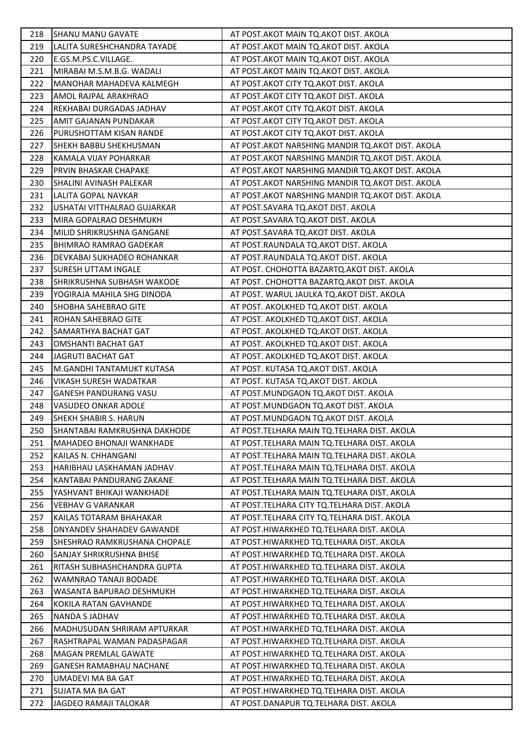| 218 | <b>SHANU MANU GAVATE</b>       | AT POST.AKOT MAIN TQ.AKOT DIST. AKOLA              |
|-----|--------------------------------|----------------------------------------------------|
| 219 | LALITA SURESHCHANDRA TAYADE    | AT POST.AKOT MAIN TQ.AKOT DIST. AKOLA              |
| 220 | E.GS.M.PS.C.VILLAGE.           | AT POST.AKOT MAIN TQ.AKOT DIST. AKOLA              |
| 221 | MIRABAI M.S.M.B.G. WADALI      | AT POST.AKOT MAIN TQ.AKOT DIST. AKOLA              |
| 222 | MANOHAR MAHADEVA KALMEGH       | AT POST. AKOT CITY TQ. AKOT DIST. AKOLA            |
| 223 | AMOL RAJPAL ARAKHRAO           | AT POST.AKOT CITY TQ.AKOT DIST. AKOLA              |
| 224 | REKHABAI DURGADAS JADHAV       | AT POST. AKOT CITY TQ. AKOT DIST. AKOLA            |
| 225 | AMIT GAJANAN PUNDAKAR          | AT POST. AKOT CITY TQ. AKOT DIST. AKOLA            |
| 226 | PURUSHOTTAM KISAN RANDE        | AT POST. AKOT CITY TQ. AKOT DIST. AKOLA            |
| 227 | SHEKH BABBU SHEKHUSMAN         | AT POST. AKOT NARSHING MANDIR TQ. AKOT DIST. AKOLA |
| 228 | KAMALA VIJAY POHARKAR          | AT POST. AKOT NARSHING MANDIR TO. AKOT DIST. AKOLA |
| 229 | PRVIN BHASKAR CHAPAKE          | AT POST. AKOT NARSHING MANDIR TO. AKOT DIST. AKOLA |
| 230 | SHALINI AVINASH PALEKAR        | AT POST. AKOT NARSHING MANDIR TQ. AKOT DIST. AKOLA |
| 231 | LALITA GOPAL NAVKAR            | AT POST. AKOT NARSHING MANDIR TO. AKOT DIST. AKOLA |
| 232 | USHATAI VITTHALRAO GUJARKAR    | AT POST.SAVARA TQ.AKOT DIST. AKOLA                 |
| 233 | MIRA GOPALRAO DESHMUKH         | AT POST.SAVARA TQ.AKOT DIST. AKOLA                 |
| 234 | MILID SHRIKRUSHNA GANGANE      | AT POST.SAVARA TQ.AKOT DIST. AKOLA                 |
| 235 | <b>BHIMRAO RAMRAO GADEKAR</b>  | AT POST.RAUNDALA TQ.AKOT DIST. AKOLA               |
| 236 | DEVKABAI SUKHADEO ROHANKAR     | AT POST.RAUNDALA TQ.AKOT DIST. AKOLA               |
| 237 | <b>SURESH UTTAM INGALE</b>     | AT POST. CHOHOTTA BAZARTQ.AKOT DIST. AKOLA         |
| 238 | SHRIKRUSHNA SUBHASH WAKODE     | AT POST. CHOHOTTA BAZARTQ.AKOT DIST. AKOLA         |
| 239 | YOGIRAJA MAHILA SHG DINODA     | AT POST. WARUL JAULKA TQ.AKOT DIST. AKOLA          |
| 240 | SHOBHA SAHEBRAO GITE           | AT POST. AKOLKHED TQ.AKOT DIST. AKOLA              |
| 241 | ROHAN SAHEBRAO GITE            | AT POST. AKOLKHED TQ.AKOT DIST. AKOLA              |
| 242 | <b>SAMARTHYA BACHAT GAT</b>    | AT POST. AKOLKHED TQ.AKOT DIST. AKOLA              |
| 243 | OMSHANTI BACHAT GAT            | AT POST. AKOLKHED TQ.AKOT DIST. AKOLA              |
| 244 | JAGRUTI BACHAT GAT             | AT POST. AKOLKHED TQ.AKOT DIST. AKOLA              |
| 245 | M.GANDHI TANTAMUKT KUTASA      | AT POST. KUTASA TQ.AKOT DIST. AKOLA                |
| 246 | VIKASH SURESH WADATKAR         | AT POST. KUTASA TQ.AKOT DIST. AKOLA                |
| 247 | <b>GANESH PANDURANG VASU</b>   | AT POST.MUNDGAON TQ.AKOT DIST. AKOLA               |
| 248 | VASUDEO ONKAR ADOLE            | AT POST.MUNDGAON TQ.AKOT DIST. AKOLA               |
| 249 | SHEKH SHABIR S. HARUN          | AT POST.MUNDGAON TQ.AKOT DIST. AKOLA               |
| 250 | SHANTABAI RAMKRUSHNA DAKHODE   | AT POST.TELHARA MAIN TQ.TELHARA DIST. AKOLA        |
| 251 | MAHADEO BHONAJI WANKHADE       | AT POST. TELHARA MAIN TO. TELHARA DIST. AKOLA      |
| 252 | KAILAS N. CHHANGANI            | AT POST.TELHARA MAIN TQ.TELHARA DIST. AKOLA        |
| 253 | HARIBHAU LASKHAMAN JADHAV      | AT POST. TELHARA MAIN TQ. TELHARA DIST. AKOLA      |
| 254 | KANTABAI PANDURANG ZAKANE      | AT POST.TELHARA MAIN TQ.TELHARA DIST. AKOLA        |
| 255 | YASHVANT BHIKAJI WANKHADE      | AT POST.TELHARA MAIN TQ.TELHARA DIST. AKOLA        |
| 256 | <b>VEBHAV G VARANKAR</b>       | AT POST.TELHARA CITY TO.TELHARA DIST. AKOLA        |
| 257 | KAILAS TOTARAM BHAHAKAR        | AT POST. TELHARA CITY TO. TELHARA DIST. AKOLA      |
| 258 | DNYANDEV SHAHADEV GAWANDE      | AT POST.HIWARKHED TQ.TELHARA DIST. AKOLA           |
| 259 | SHESHRAO RAMKRUSHANA CHOPALE   | AT POST.HIWARKHED TQ.TELHARA DIST. AKOLA           |
| 260 | SANJAY SHRIKRUSHNA BHISE       | AT POST.HIWARKHED TQ.TELHARA DIST. AKOLA           |
| 261 | RITASH SUBHASHCHANDRA GUPTA    | AT POST.HIWARKHED TQ.TELHARA DIST. AKOLA           |
| 262 | WAMNRAO TANAJI BODADE          | AT POST.HIWARKHED TQ.TELHARA DIST. AKOLA           |
| 263 | WASANTA BAPURAO DESHMUKH       | AT POST.HIWARKHED TQ.TELHARA DIST. AKOLA           |
| 264 | KOKILA RATAN GAVHANDE          | AT POST.HIWARKHED TQ.TELHARA DIST. AKOLA           |
| 265 | NANDA S JADHAV                 | AT POST.HIWARKHED TQ.TELHARA DIST. AKOLA           |
| 266 | MADHUSUDAN SHRIRAM APTURKAR    | AT POST.HIWARKHED TQ.TELHARA DIST. AKOLA           |
| 267 | RASHTRAPAL WAMAN PADASPAGAR    | AT POST.HIWARKHED TQ.TELHARA DIST. AKOLA           |
| 268 | MAGAN PREMLAL GAWATE           | AT POST.HIWARKHED TQ.TELHARA DIST. AKOLA           |
| 269 | <b>GANESH RAMABHAU NACHANE</b> | AT POST.HIWARKHED TQ.TELHARA DIST. AKOLA           |
| 270 | UMADEVI MA BA GAT              | AT POST.HIWARKHED TQ.TELHARA DIST. AKOLA           |
| 271 | SUJATA MA BA GAT               | AT POST.HIWARKHED TQ.TELHARA DIST. AKOLA           |
| 272 | JAGDEO RAMAJI TALOKAR          | AT POST.DANAPUR TQ.TELHARA DIST. AKOLA             |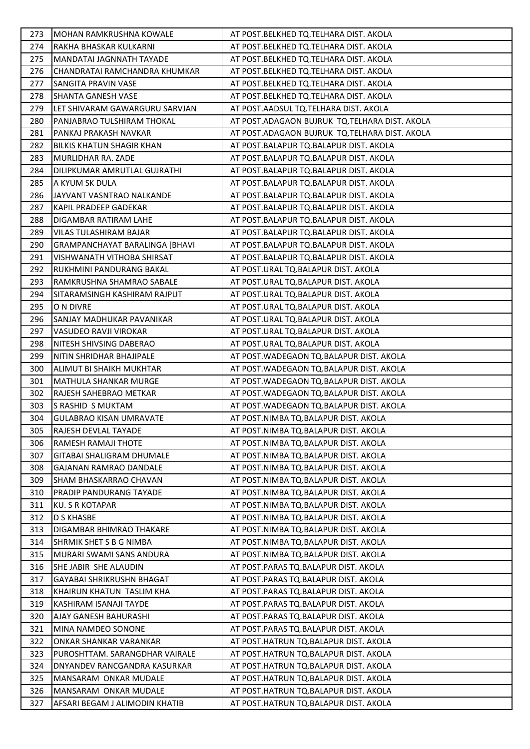| 273 | MOHAN RAMKRUSHNA KOWALE          | AT POST.BELKHED TQ.TELHARA DIST. AKOLA        |
|-----|----------------------------------|-----------------------------------------------|
| 274 | RAKHA BHASKAR KULKARNI           | AT POST.BELKHED TQ.TELHARA DIST. AKOLA        |
| 275 | MANDATAI JAGNNATH TAYADE         | AT POST.BELKHED TQ.TELHARA DIST. AKOLA        |
| 276 | CHANDRATAI RAMCHANDRA KHUMKAR    | AT POST.BELKHED TQ.TELHARA DIST. AKOLA        |
| 277 | SANGITA PRAVIN VASE              | AT POST.BELKHED TQ.TELHARA DIST. AKOLA        |
| 278 | SHANTA GANESH VASE               | AT POST.BELKHED TQ.TELHARA DIST. AKOLA        |
| 279 | LET SHIVARAM GAWARGURU SARVJAN   | AT POST.AADSUL TQ.TELHARA DIST. AKOLA         |
| 280 | PANJABRAO TULSHIRAM THOKAL       | AT POST.ADAGAON BUJRUK TQ.TELHARA DIST. AKOLA |
| 281 | PANKAJ PRAKASH NAVKAR            | AT POST.ADAGAON BUJRUK TQ.TELHARA DIST. AKOLA |
| 282 | <b>BILKIS KHATUN SHAGIR KHAN</b> | AT POST.BALAPUR TQ.BALAPUR DIST. AKOLA        |
| 283 | MURLIDHAR RA. ZADE               | AT POST.BALAPUR TQ.BALAPUR DIST. AKOLA        |
| 284 | DILIPKUMAR AMRUTLAL GUJRATHI     | AT POST.BALAPUR TQ.BALAPUR DIST. AKOLA        |
| 285 | A KYUM SK DULA                   | AT POST.BALAPUR TQ.BALAPUR DIST. AKOLA        |
| 286 | JAYVANT VASNTRAO NALKANDE        | AT POST.BALAPUR TQ.BALAPUR DIST. AKOLA        |
| 287 | KAPIL PRADEEP GADEKAR            | AT POST.BALAPUR TQ.BALAPUR DIST. AKOLA        |
| 288 | DIGAMBAR RATIRAM LAHE            | AT POST.BALAPUR TQ.BALAPUR DIST. AKOLA        |
| 289 | VILAS TULASHIRAM BAJAR           | AT POST.BALAPUR TQ.BALAPUR DIST. AKOLA        |
| 290 | GRAMPANCHAYAT BARALINGA [BHAVI   | AT POST.BALAPUR TQ.BALAPUR DIST. AKOLA        |
| 291 | VISHWANATH VITHOBA SHIRSAT       | AT POST.BALAPUR TQ.BALAPUR DIST. AKOLA        |
| 292 | RUKHMINI PANDURANG BAKAL         | AT POST.URAL TQ.BALAPUR DIST. AKOLA           |
| 293 | RAMKRUSHNA SHAMRAO SABALE        | AT POST.URAL TQ.BALAPUR DIST. AKOLA           |
| 294 | SITARAMSINGH KASHIRAM RAJPUT     | AT POST.URAL TQ.BALAPUR DIST. AKOLA           |
| 295 | O N DIVRE                        | AT POST.URAL TQ.BALAPUR DIST. AKOLA           |
| 296 | SANJAY MADHUKAR PAVANIKAR        | AT POST.URAL TQ.BALAPUR DIST. AKOLA           |
| 297 | VASUDEO RAVJI VIROKAR            | AT POST.URAL TQ.BALAPUR DIST. AKOLA           |
| 298 | NITESH SHIVSING DABERAO          | AT POST.URAL TQ.BALAPUR DIST. AKOLA           |
| 299 | NITIN SHRIDHAR BHAJIPALE         | AT POST. WADEGAON TQ. BALAPUR DIST. AKOLA     |
| 300 | ALIMUT BI SHAIKH MUKHTAR         | AT POST. WADEGAON TQ. BALAPUR DIST. AKOLA     |
| 301 | MATHULA SHANKAR MURGE            | AT POST. WADEGAON TQ. BALAPUR DIST. AKOLA     |
| 302 | RAJESH SAHEBRAO METKAR           | AT POST. WADEGAON TO. BALAPUR DIST. AKOLA     |
| 303 | S RASHID S MUKTAM                | AT POST. WADEGAON TQ. BALAPUR DIST. AKOLA     |
| 304 | <b>GULABRAO KISAN UMRAVATE</b>   | AT POST.NIMBA TQ.BALAPUR DIST. AKOLA          |
| 305 | RAJESH DEVLAL TAYADE             | AT POST.NIMBA TQ.BALAPUR DIST. AKOLA          |
| 306 | RAMESH RAMAJI THOTE              | AT POST.NIMBA TQ.BALAPUR DIST. AKOLA          |
| 307 | GITABAI SHALIGRAM DHUMALE        | AT POST.NIMBA TQ.BALAPUR DIST. AKOLA          |
| 308 | <b>GAJANAN RAMRAO DANDALE</b>    | AT POST.NIMBA TQ.BALAPUR DIST. AKOLA          |
| 309 | SHAM BHASKARRAO CHAVAN           | AT POST.NIMBA TQ.BALAPUR DIST. AKOLA          |
| 310 | <b>PRADIP PANDURANG TAYADE</b>   | AT POST.NIMBA TQ.BALAPUR DIST. AKOLA          |
| 311 | <b>KU. S R KOTAPAR</b>           | AT POST.NIMBA TQ.BALAPUR DIST. AKOLA          |
| 312 | <b>D S KHASBE</b>                | AT POST.NIMBA TQ.BALAPUR DIST. AKOLA          |
| 313 | DIGAMBAR BHIMRAO THAKARE         | AT POST.NIMBA TQ.BALAPUR DIST. AKOLA          |
| 314 | SHRMIK SHET S B G NIMBA          | AT POST.NIMBA TQ.BALAPUR DIST. AKOLA          |
| 315 | MURARI SWAMI SANS ANDURA         | AT POST.NIMBA TQ.BALAPUR DIST. AKOLA          |
| 316 | SHE JABIR SHE ALAUDIN            | AT POST.PARAS TQ.BALAPUR DIST. AKOLA          |
| 317 | GAYABAI SHRIKRUSHN BHAGAT        | AT POST.PARAS TQ.BALAPUR DIST. AKOLA          |
| 318 | KHAIRUN KHATUN TASLIM KHA        | AT POST.PARAS TQ.BALAPUR DIST. AKOLA          |
| 319 | KASHIRAM ISANAJI TAYDE           | AT POST. PARAS TO. BALAPUR DIST. AKOLA        |
| 320 | <b>AJAY GANESH BAHURASHI</b>     | AT POST.PARAS TQ.BALAPUR DIST. AKOLA          |
| 321 | MINA NAMDEO SONONE               | AT POST.PARAS TQ.BALAPUR DIST. AKOLA          |
| 322 | ONKAR SHANKAR VARANKAR           | AT POST.HATRUN TQ.BALAPUR DIST. AKOLA         |
| 323 | PUROSHTTAM. SARANGDHAR VAIRALE   | AT POST.HATRUN TQ.BALAPUR DIST. AKOLA         |
| 324 | DNYANDEV RANCGANDRA KASURKAR     | AT POST.HATRUN TQ.BALAPUR DIST. AKOLA         |
| 325 | MANSARAM ONKAR MUDALE            | AT POST.HATRUN TQ.BALAPUR DIST. AKOLA         |
| 326 | MANSARAM ONKAR MUDALE            | AT POST.HATRUN TQ.BALAPUR DIST. AKOLA         |
| 327 | AFSARI BEGAM J ALIMODIN KHATIB   | AT POST.HATRUN TQ.BALAPUR DIST. AKOLA         |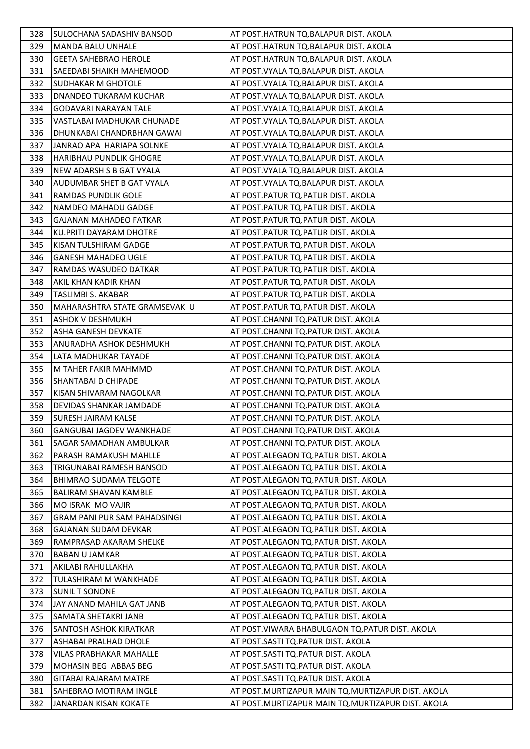| 328 | SULOCHANA SADASHIV BANSOD           | AT POST.HATRUN TQ.BALAPUR DIST. AKOLA               |
|-----|-------------------------------------|-----------------------------------------------------|
| 329 | <b>MANDA BALU UNHALE</b>            | AT POST.HATRUN TQ.BALAPUR DIST. AKOLA               |
| 330 | <b>GEETA SAHEBRAO HEROLE</b>        | AT POST.HATRUN TQ.BALAPUR DIST. AKOLA               |
| 331 | SAEEDABI SHAIKH MAHEMOOD            | AT POST. VYALA TQ. BALAPUR DIST. AKOLA              |
| 332 | <b>SUDHAKAR M GHOTOLE</b>           | AT POST. VYALA TQ. BALAPUR DIST. AKOLA              |
| 333 | DNANDEO TUKARAM KUCHAR              | AT POST. VYALA TQ. BALAPUR DIST. AKOLA              |
| 334 | GODAVARI NARAYAN TALE               | AT POST. VYALA TQ. BALAPUR DIST. AKOLA              |
| 335 | VASTLABAI MADHUKAR CHUNADE          | AT POST. VYALA TQ. BALAPUR DIST. AKOLA              |
| 336 | DHUNKABAI CHANDRBHAN GAWAI          | AT POST. VYALA TQ. BALAPUR DIST. AKOLA              |
| 337 | JANRAO APA HARIAPA SOLNKE           | AT POST. VYALA TQ. BALAPUR DIST. AKOLA              |
| 338 | <b>HARIBHAU PUNDLIK GHOGRE</b>      | AT POST. VYALA TQ. BALAPUR DIST. AKOLA              |
| 339 | NEW ADARSH S B GAT VYALA            | AT POST. VYALA TQ. BALAPUR DIST. AKOLA              |
| 340 | AUDUMBAR SHET B GAT VYALA           | AT POST. VYALA TQ. BALAPUR DIST. AKOLA              |
| 341 | RAMDAS PUNDLIK GOLE                 | AT POST.PATUR TQ.PATUR DIST. AKOLA                  |
| 342 | NAMDEO MAHADU GADGE                 | AT POST.PATUR TQ.PATUR DIST. AKOLA                  |
| 343 | <b>GAJANAN MAHADEO FATKAR</b>       | AT POST.PATUR TQ.PATUR DIST. AKOLA                  |
| 344 | <b>KU.PRITI DAYARAM DHOTRE</b>      | AT POST.PATUR TQ.PATUR DIST. AKOLA                  |
| 345 | KISAN TULSHIRAM GADGE               | AT POST.PATUR TQ.PATUR DIST. AKOLA                  |
| 346 | <b>GANESH MAHADEO UGLE</b>          | AT POST.PATUR TQ.PATUR DIST. AKOLA                  |
| 347 | RAMDAS WASUDEO DATKAR               | AT POST.PATUR TQ.PATUR DIST. AKOLA                  |
| 348 | AKIL KHAN KADIR KHAN                | AT POST.PATUR TQ.PATUR DIST. AKOLA                  |
| 349 | TASLIMBI S. AKABAR                  | AT POST.PATUR TQ.PATUR DIST. AKOLA                  |
| 350 | MAHARASHTRA STATE GRAMSEVAK U       | AT POST.PATUR TQ.PATUR DIST. AKOLA                  |
| 351 | <b>ASHOK V DESHMUKH</b>             | AT POST.CHANNI TQ.PATUR DIST. AKOLA                 |
| 352 | ASHA GANESH DEVKATE                 | AT POST.CHANNI TQ.PATUR DIST. AKOLA                 |
| 353 | ANURADHA ASHOK DESHMUKH             | AT POST.CHANNI TQ.PATUR DIST. AKOLA                 |
| 354 | LATA MADHUKAR TAYADE                | AT POST.CHANNI TQ.PATUR DIST. AKOLA                 |
| 355 | M TAHER FAKIR MAHMMD                | AT POST.CHANNI TQ.PATUR DIST. AKOLA                 |
| 356 | SHANTABAI D CHIPADE                 | AT POST.CHANNI TQ.PATUR DIST. AKOLA                 |
| 357 | KISAN SHIVARAM NAGOLKAR             | AT POST.CHANNI TQ.PATUR DIST. AKOLA                 |
| 358 | DEVIDAS SHANKAR JAMDADE             | AT POST.CHANNI TQ.PATUR DIST. AKOLA                 |
| 359 | <b>SURESH JAIRAM KALSE</b>          | AT POST.CHANNI TQ.PATUR DIST. AKOLA                 |
| 360 | <b>GANGUBAI JAGDEV WANKHADE</b>     | AT POST.CHANNI TQ.PATUR DIST. AKOLA                 |
| 361 | SAGAR SAMADHAN AMBULKAR             | AT POST.CHANNI TQ.PATUR DIST. AKOLA                 |
| 362 | PARASH RAMAKUSH MAHLLE              | AT POST.ALEGAON TQ.PATUR DIST. AKOLA                |
| 363 | TRIGUNABAI RAMESH BANSOD            | AT POST.ALEGAON TQ.PATUR DIST. AKOLA                |
| 364 | <b>BHIMRAO SUDAMA TELGOTE</b>       | AT POST.ALEGAON TQ.PATUR DIST. AKOLA                |
| 365 | <b>BALIRAM SHAVAN KAMBLE</b>        | AT POST.ALEGAON TQ.PATUR DIST. AKOLA                |
| 366 | MO ISRAK MO VAJIR                   | AT POST.ALEGAON TQ.PATUR DIST. AKOLA                |
| 367 | <b>GRAM PANI PUR SAM PAHADSINGI</b> | AT POST.ALEGAON TQ.PATUR DIST. AKOLA                |
| 368 | <b>GAJANAN SUDAM DEVKAR</b>         | AT POST.ALEGAON TQ.PATUR DIST. AKOLA                |
| 369 | RAMPRASAD AKARAM SHELKE             | AT POST.ALEGAON TQ.PATUR DIST. AKOLA                |
| 370 | <b>BABAN U JAMKAR</b>               | AT POST.ALEGAON TQ.PATUR DIST. AKOLA                |
| 371 | AKILABI RAHULLAKHA                  | AT POST.ALEGAON TQ.PATUR DIST. AKOLA                |
| 372 | TULASHIRAM M WANKHADE               | AT POST.ALEGAON TQ.PATUR DIST. AKOLA                |
| 373 | <b>SUNIL T SONONE</b>               | AT POST.ALEGAON TQ.PATUR DIST. AKOLA                |
| 374 | JAY ANAND MAHILA GAT JANB           | AT POST.ALEGAON TQ.PATUR DIST. AKOLA                |
| 375 | SAMATA SHETAKRI JANB                | AT POST.ALEGAON TQ.PATUR DIST. AKOLA                |
| 376 | SANTOSH ASHOK KIRATKAR              | AT POST.VIWARA BHABULGAON TQ.PATUR DIST. AKOLA      |
| 377 | ASHABAI PRALHAD DHOLE               | AT POST.SASTI TQ.PATUR DIST. AKOLA                  |
| 378 | VILAS PRABHAKAR MAHALLE             | AT POST.SASTI TQ.PATUR DIST. AKOLA                  |
| 379 | MOHASIN BEG ABBAS BEG               | AT POST.SASTI TQ.PATUR DIST. AKOLA                  |
| 380 | <b>GITABAI RAJARAM MATRE</b>        | AT POST.SASTI TQ.PATUR DIST. AKOLA                  |
| 381 | SAHEBRAO MOTIRAM INGLE              | AT POST. MURTIZAPUR MAIN TQ. MURTIZAPUR DIST. AKOLA |
| 382 | JANARDAN KISAN KOKATE               | AT POST. MURTIZAPUR MAIN TQ. MURTIZAPUR DIST. AKOLA |
|     |                                     |                                                     |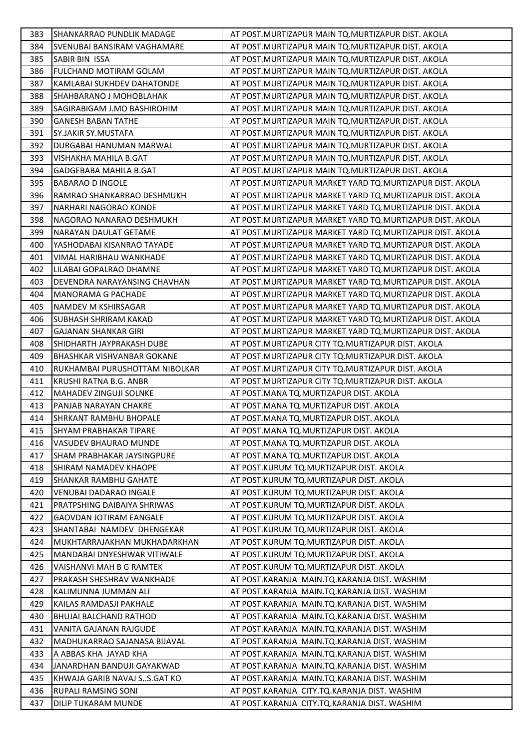| 383 | <b>SHANKARRAO PUNDLIK MADAGE</b>  | AT POST. MURTIZAPUR MAIN TQ. MURTIZAPUR DIST. AKOLA        |
|-----|-----------------------------------|------------------------------------------------------------|
| 384 | SVENUBAI BANSIRAM VAGHAMARE       | AT POST. MURTIZAPUR MAIN TO. MURTIZAPUR DIST. AKOLA        |
| 385 | SABIR BIN ISSA                    | AT POST. MURTIZAPUR MAIN TO. MURTIZAPUR DIST. AKOLA        |
| 386 | <b>FULCHAND MOTIRAM GOLAM</b>     | AT POST. MURTIZAPUR MAIN TQ. MURTIZAPUR DIST. AKOLA        |
| 387 | KAMLABAI SUKHDEV DAHATONDE        | AT POST. MURTIZAPUR MAIN TQ. MURTIZAPUR DIST. AKOLA        |
| 388 | SHAHBARANO J MOHOBLAHAK           | AT POST. MURTIZAPUR MAIN TQ. MURTIZAPUR DIST. AKOLA        |
| 389 | SAGIRABIGAM J.MO BASHIROHIM       | AT POST. MURTIZAPUR MAIN TQ. MURTIZAPUR DIST. AKOLA        |
| 390 | <b>GANESH BABAN TATHE</b>         | AT POST. MURTIZAPUR MAIN TQ. MURTIZAPUR DIST. AKOLA        |
| 391 | SY.JAKIR SY.MUSTAFA               | AT POST. MURTIZAPUR MAIN TQ. MURTIZAPUR DIST. AKOLA        |
| 392 | DURGABAI HANUMAN MARWAL           | AT POST. MURTIZAPUR MAIN TQ. MURTIZAPUR DIST. AKOLA        |
| 393 | VISHAKHA MAHILA B.GAT             | AT POST. MURTIZAPUR MAIN TO. MURTIZAPUR DIST. AKOLA        |
| 394 | GADGEBABA MAHILA B.GAT            | AT POST. MURTIZAPUR MAIN TQ. MURTIZAPUR DIST. AKOLA        |
| 395 | <b>BABARAO D INGOLE</b>           | AT POST. MURTIZAPUR MARKET YARD TQ. MURTIZAPUR DIST. AKOLA |
| 396 | RAMRAO SHANKARRAO DESHMUKH        | AT POST. MURTIZAPUR MARKET YARD TO. MURTIZAPUR DIST. AKOLA |
| 397 | NARHARI NAGORAO KONDE             | AT POST. MURTIZAPUR MARKET YARD TQ. MURTIZAPUR DIST. AKOLA |
| 398 | NAGORAO NANARAO DESHMUKH          | AT POST. MURTIZAPUR MARKET YARD TQ. MURTIZAPUR DIST. AKOLA |
| 399 | NARAYAN DAULAT GETAME             | AT POST. MURTIZAPUR MARKET YARD TO. MURTIZAPUR DIST. AKOLA |
| 400 | YASHODABAI KISANRAO TAYADE        | AT POST. MURTIZAPUR MARKET YARD TO. MURTIZAPUR DIST. AKOLA |
| 401 | <b>VIMAL HARIBHAU WANKHADE</b>    | AT POST. MURTIZAPUR MARKET YARD TQ. MURTIZAPUR DIST. AKOLA |
| 402 | LILABAI GOPALRAO DHAMNE           | AT POST. MURTIZAPUR MARKET YARD TO. MURTIZAPUR DIST. AKOLA |
| 403 | DEVENDRA NARAYANSING CHAVHAN      | AT POST. MURTIZAPUR MARKET YARD TQ. MURTIZAPUR DIST. AKOLA |
| 404 | MANORAMA G PACHADE                | AT POST. MURTIZAPUR MARKET YARD TO. MURTIZAPUR DIST. AKOLA |
| 405 | NAMDEV M KSHIRSAGAR               | AT POST. MURTIZAPUR MARKET YARD TQ. MURTIZAPUR DIST. AKOLA |
| 406 | <b>SUBHASH SHRIRAM KAKAD</b>      | AT POST. MURTIZAPUR MARKET YARD TQ. MURTIZAPUR DIST. AKOLA |
| 407 | <b>GAJANAN SHANKAR GIRI</b>       | AT POST.MURTIZAPUR MARKET YARD TO.MURTIZAPUR DIST. AKOLA   |
| 408 | SHIDHARTH JAYPRAKASH DUBE         | AT POST. MURTIZAPUR CITY TQ. MURTIZAPUR DIST. AKOLA        |
| 409 | BHASHKAR VISHVANBAR GOKANE        | AT POST. MURTIZAPUR CITY TQ. MURTIZAPUR DIST. AKOLA        |
| 410 | RUKHAMBAI PURUSHOTTAM NIBOLKAR    | AT POST. MURTIZAPUR CITY TQ. MURTIZAPUR DIST. AKOLA        |
| 411 | KRUSHI RATNA B.G. ANBR            | AT POST. MURTIZAPUR CITY TQ. MURTIZAPUR DIST. AKOLA        |
| 412 | <b>MAHADEV ZINGUJI SOLNKE</b>     | AT POST.MANA TQ.MURTIZAPUR DIST. AKOLA                     |
| 413 | PANJAB NARAYAN CHAKRE             | AT POST.MANA TQ.MURTIZAPUR DIST. AKOLA                     |
| 414 | <b>SHRKANT RAMBHU BHOPALE</b>     | AT POST.MANA TQ.MURTIZAPUR DIST. AKOLA                     |
| 415 | <b>SHYAM PRABHAKAR TIPARE</b>     | AT POST.MANA TQ.MURTIZAPUR DIST. AKOLA                     |
| 416 | VASUDEV BHAURAO MUNDE             | AT POST. MANA TQ. MURTIZAPUR DIST. AKOLA                   |
| 417 | <b>SHAM PRABHAKAR JAYSINGPURE</b> | AT POST.MANA TO.MURTIZAPUR DIST. AKOLA                     |
| 418 | <b>SHIRAM NAMADEV KHAOPE</b>      | AT POST.KURUM TQ.MURTIZAPUR DIST. AKOLA                    |
| 419 | <b>SHANKAR RAMBHU GAHATE</b>      | AT POST.KURUM TQ.MURTIZAPUR DIST. AKOLA                    |
| 420 | VENUBAI DADARAO INGALE            | AT POST.KURUM TQ.MURTIZAPUR DIST. AKOLA                    |
| 421 | PRATPSHING DAIBAIYA SHRIWAS       | AT POST.KURUM TQ.MURTIZAPUR DIST. AKOLA                    |
| 422 | <b>GAOVDAN JOTIRAM EANGALE</b>    | AT POST.KURUM TQ.MURTIZAPUR DIST. AKOLA                    |
| 423 | SHANTABAI NAMDEV DHENGEKAR        | AT POST.KURUM TQ.MURTIZAPUR DIST. AKOLA                    |
| 424 | MUKHTARRAJAKHAN MUKHADARKHAN      | AT POST.KURUM TQ.MURTIZAPUR DIST. AKOLA                    |
| 425 | MANDABAI DNYESHWAR VITIWALE       | AT POST.KURUM TQ.MURTIZAPUR DIST. AKOLA                    |
| 426 | VAISHANVI MAH B G RAMTEK          | AT POST.KURUM TQ.MURTIZAPUR DIST. AKOLA                    |
| 427 | PRAKASH SHESHRAV WANKHADE         | AT POST.KARANJA MAIN.TQ.KARANJA DIST. WASHIM               |
| 428 | KALIMUNNA JUMMAN ALI              | AT POST.KARANJA MAIN.TQ.KARANJA DIST. WASHIM               |
| 429 | KAILAS RAMDASJI PAKHALE           | AT POST.KARANJA MAIN.TQ.KARANJA DIST. WASHIM               |
| 430 | <b>BHUJAI BALCHAND RATHOD</b>     | AT POST.KARANJA MAIN.TQ.KARANJA DIST. WASHIM               |
| 431 | VANITA GAJANAN RAJGUDE            | AT POST.KARANJA MAIN.TQ.KARANJA DIST. WASHIM               |
| 432 | MADHUKARRAO SAJANASA BIJAVAL      | AT POST.KARANJA MAIN.TQ.KARANJA DIST. WASHIM               |
| 433 | A ABBAS KHA JAYAD KHA             | AT POST.KARANJA MAIN.TQ.KARANJA DIST. WASHIM               |
| 434 | JANARDHAN BANDUJI GAYAKWAD        | AT POST.KARANJA MAIN.TQ.KARANJA DIST. WASHIM               |
| 435 | KHWAJA GARIB NAVAJ SS.GAT KO      | AT POST.KARANJA MAIN.TQ.KARANJA DIST. WASHIM               |
| 436 | <b>RUPALI RAMSING SONI</b>        | AT POST.KARANJA CITY.TQ.KARANJA DIST. WASHIM               |
| 437 | DILIP TUKARAM MUNDE               | AT POST.KARANJA CITY.TQ.KARANJA DIST. WASHIM               |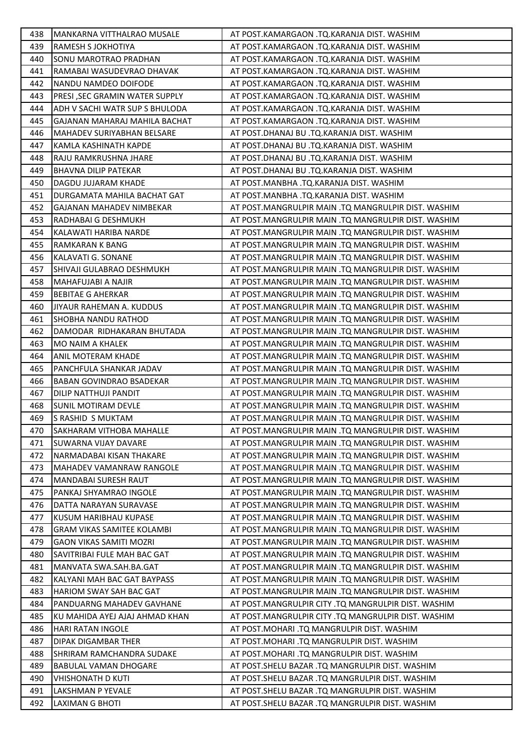| 438 | MANKARNA VITTHALRAO MUSALE        | AT POST.KAMARGAON .TQ.KARANJA DIST. WASHIM          |
|-----|-----------------------------------|-----------------------------------------------------|
| 439 | RAMESH S JOKHOTIYA                | AT POST.KAMARGAON .TQ.KARANJA DIST. WASHIM          |
| 440 | SONU MAROTRAO PRADHAN             | AT POST.KAMARGAON .TQ.KARANJA DIST. WASHIM          |
| 441 | RAMABAI WASUDEVRAO DHAVAK         | AT POST.KAMARGAON .TQ.KARANJA DIST. WASHIM          |
| 442 | NANDU NAMDEO DOIFODE              | AT POST.KAMARGAON .TQ.KARANJA DIST. WASHIM          |
| 443 | PRESI, SEC GRAMIN WATER SUPPLY    | AT POST.KAMARGAON .TQ.KARANJA DIST. WASHIM          |
| 444 | ADH V SACHI WATR SUP S BHULODA    | AT POST.KAMARGAON .TQ.KARANJA DIST. WASHIM          |
| 445 | GAJANAN MAHARAJ MAHILA BACHAT     | AT POST.KAMARGAON .TQ.KARANJA DIST. WASHIM          |
| 446 | MAHADEV SURIYABHAN BELSARE        | AT POST.DHANAJ BU .TQ.KARANJA DIST. WASHIM          |
| 447 | KAMLA KASHINATH KAPDE             | AT POST.DHANAJ BU .TQ.KARANJA DIST. WASHIM          |
| 448 | RAJU RAMKRUSHNA JHARE             | AT POST.DHANAJ BU .TQ.KARANJA DIST. WASHIM          |
| 449 | <b>BHAVNA DILIP PATEKAR</b>       | AT POST.DHANAJ BU .TQ.KARANJA DIST. WASHIM          |
| 450 | DAGDU JUJARAM KHADE               | AT POST.MANBHA .TQ.KARANJA DIST. WASHIM             |
| 451 | DURGAMATA MAHILA BACHAT GAT       | AT POST.MANBHA .TQ.KARANJA DIST. WASHIM             |
| 452 | GAJANAN MAHADEV NIMBEKAR          | AT POST.MANGRULPIR MAIN .TQ MANGRULPIR DIST. WASHIM |
| 453 | RADHABAI G DESHMUKH               | AT POST.MANGRULPIR MAIN .TQ MANGRULPIR DIST. WASHIM |
| 454 | KALAWATI HARIBA NARDE             | AT POST.MANGRULPIR MAIN .TQ MANGRULPIR DIST. WASHIM |
| 455 | RAMKARAN K BANG                   | AT POST.MANGRULPIR MAIN .TQ MANGRULPIR DIST. WASHIM |
| 456 | KALAVATI G. SONANE                | AT POST.MANGRULPIR MAIN .TQ MANGRULPIR DIST. WASHIM |
| 457 | SHIVAJI GULABRAO DESHMUKH         | AT POST.MANGRULPIR MAIN .TQ MANGRULPIR DIST. WASHIM |
| 458 | MAHAFUJABI A NAJIR                | AT POST.MANGRULPIR MAIN .TQ MANGRULPIR DIST. WASHIM |
| 459 | <b>BEBITAE G AHERKAR</b>          | AT POST.MANGRULPIR MAIN .TQ MANGRULPIR DIST. WASHIM |
| 460 | JIYAUR RAHEMAN A. KUDDUS          | AT POST.MANGRULPIR MAIN .TQ MANGRULPIR DIST. WASHIM |
| 461 | SHOBHA NANDU RATHOD               | AT POST.MANGRULPIR MAIN .TQ MANGRULPIR DIST. WASHIM |
| 462 | DAMODAR RIDHAKARAN BHUTADA        | AT POST.MANGRULPIR MAIN .TQ MANGRULPIR DIST. WASHIM |
| 463 | MO NAIM A KHALEK                  | AT POST.MANGRULPIR MAIN .TQ MANGRULPIR DIST. WASHIM |
| 464 | ANIL MOTERAM KHADE                | AT POST.MANGRULPIR MAIN .TQ MANGRULPIR DIST. WASHIM |
| 465 | PANCHFULA SHANKAR JADAV           | AT POST.MANGRULPIR MAIN .TQ MANGRULPIR DIST. WASHIM |
| 466 | BABAN GOVINDRAO BSADEKAR          | AT POST.MANGRULPIR MAIN .TQ MANGRULPIR DIST. WASHIM |
| 467 | DILIP NATTHUJI PANDIT             | AT POST.MANGRULPIR MAIN .TQ MANGRULPIR DIST. WASHIM |
| 468 | SUNIL MOTIRAM DEVLE               | AT POST.MANGRULPIR MAIN .TQ MANGRULPIR DIST. WASHIM |
| 469 | S RASHID S MUKTAM                 | AT POST.MANGRULPIR MAIN .TQ MANGRULPIR DIST. WASHIM |
| 470 | <b>SAKHARAM VITHOBA MAHALLE</b>   | AT POST.MANGRULPIR MAIN .TQ MANGRULPIR DIST. WASHIM |
| 471 | SUWARNA VIJAY DAVARE              | AT POST.MANGRULPIR MAIN .TQ MANGRULPIR DIST. WASHIM |
| 472 | NARMADABAI KISAN THAKARE          | AT POST.MANGRULPIR MAIN .TQ MANGRULPIR DIST. WASHIM |
| 473 | MAHADEV VAMANRAW RANGOLE          | AT POST.MANGRULPIR MAIN .TQ MANGRULPIR DIST. WASHIM |
| 474 | MANDABAI SURESH RAUT              | AT POST.MANGRULPIR MAIN .TQ MANGRULPIR DIST. WASHIM |
| 475 | PANKAJ SHYAMRAO INGOLE            | AT POST.MANGRULPIR MAIN .TQ MANGRULPIR DIST. WASHIM |
| 476 | DATTA NARAYAN SURAVASE            | AT POST.MANGRULPIR MAIN .TQ MANGRULPIR DIST. WASHIM |
| 477 | KUSUM HARIBHAU KUPASE             | AT POST.MANGRULPIR MAIN .TQ MANGRULPIR DIST. WASHIM |
| 478 | <b>GRAM VIKAS SAMITEE KOLAMBI</b> | AT POST.MANGRULPIR MAIN .TQ MANGRULPIR DIST. WASHIM |
| 479 | GAON VIKAS SAMITI MOZRI           | AT POST.MANGRULPIR MAIN .TQ MANGRULPIR DIST. WASHIM |
| 480 | SAVITRIBAI FULE MAH BAC GAT       | AT POST.MANGRULPIR MAIN .TQ MANGRULPIR DIST. WASHIM |
| 481 | MANVATA SWA.SAH.BA.GAT            | AT POST.MANGRULPIR MAIN .TQ MANGRULPIR DIST. WASHIM |
| 482 | KALYANI MAH BAC GAT BAYPASS       | AT POST.MANGRULPIR MAIN .TQ MANGRULPIR DIST. WASHIM |
| 483 | HARIOM SWAY SAH BAC GAT           | AT POST.MANGRULPIR MAIN .TQ MANGRULPIR DIST. WASHIM |
| 484 | PANDUARNG MAHADEV GAVHANE         | AT POST.MANGRULPIR CITY .TQ MANGRULPIR DIST. WASHIM |
| 485 | KU MAHIDA AYEJ AJAJ AHMAD KHAN    | AT POST.MANGRULPIR CITY .TQ MANGRULPIR DIST. WASHIM |
| 486 | HARI RATAN INGOLE                 | AT POST.MOHARI .TQ MANGRULPIR DIST. WASHIM          |
| 487 | DIPAK DIGAMBAR THER               | AT POST.MOHARI .TQ MANGRULPIR DIST. WASHIM          |
| 488 | SHRIRAM RAMCHANDRA SUDAKE         | AT POST.MOHARI .TQ MANGRULPIR DIST. WASHIM          |
| 489 | <b>BABULAL VAMAN DHOGARE</b>      | AT POST.SHELU BAZAR .TQ MANGRULPIR DIST. WASHIM     |
| 490 | VHISHONATH D KUTI                 | AT POST.SHELU BAZAR .TQ MANGRULPIR DIST. WASHIM     |
| 491 | LAKSHMAN P YEVALE                 | AT POST.SHELU BAZAR .TQ MANGRULPIR DIST. WASHIM     |
| 492 | LAXIMAN G BHOTI                   | AT POST.SHELU BAZAR .TQ MANGRULPIR DIST. WASHIM     |
|     |                                   |                                                     |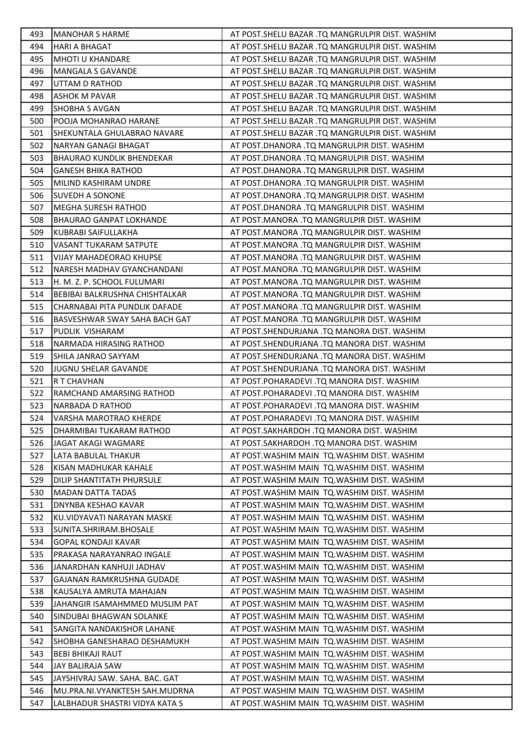| 493 | <b>MANOHAR S HARME</b>           | AT POST. SHELU BAZAR .TQ MANGRULPIR DIST. WASHIM  |
|-----|----------------------------------|---------------------------------------------------|
| 494 | <b>HARI A BHAGAT</b>             | AT POST. SHELU BAZAR .TQ MANGRULPIR DIST. WASHIM  |
| 495 | MHOTI U KHANDARE                 | AT POST.SHELU BAZAR .TQ MANGRULPIR DIST. WASHIM   |
| 496 | <b>MANGALA S GAVANDE</b>         | AT POST. SHELU BAZAR .TQ MANGRULPIR DIST. WASHIM  |
| 497 | UTTAM D RATHOD                   | AT POST. SHELU BAZAR . TQ MANGRULPIR DIST. WASHIM |
| 498 | <b>ASHOK M PAVAR</b>             | AT POST. SHELU BAZAR . TQ MANGRULPIR DIST. WASHIM |
| 499 | <b>SHOBHA S AVGAN</b>            | AT POST. SHELU BAZAR .TQ MANGRULPIR DIST. WASHIM  |
| 500 | POOJA MOHANRAO HARANE            | AT POST.SHELU BAZAR .TQ MANGRULPIR DIST. WASHIM   |
| 501 | SHEKUNTALA GHULABRAO NAVARE      | AT POST.SHELU BAZAR .TQ MANGRULPIR DIST. WASHIM   |
| 502 | NARYAN GANAGI BHAGAT             | AT POST.DHANORA .TQ MANGRULPIR DIST. WASHIM       |
| 503 | <b>BHAURAO KUNDLIK BHENDEKAR</b> | AT POST.DHANORA .TQ MANGRULPIR DIST. WASHIM       |
| 504 | <b>GANESH BHIKA RATHOD</b>       | AT POST.DHANORA .TQ MANGRULPIR DIST. WASHIM       |
| 505 | MILIND KASHIRAM UNDRE            | AT POST.DHANORA .TQ MANGRULPIR DIST. WASHIM       |
| 506 | SUVEDH A SONONE                  | AT POST.DHANORA .TQ MANGRULPIR DIST. WASHIM       |
| 507 | MEGHA SURESH RATHOD              | AT POST.DHANORA .TQ MANGRULPIR DIST. WASHIM       |
| 508 | <b>BHAURAO GANPAT LOKHANDE</b>   | AT POST.MANORA .TQ MANGRULPIR DIST. WASHIM        |
| 509 | KUBRABI SAIFULLAKHA              | AT POST.MANORA .TQ MANGRULPIR DIST. WASHIM        |
| 510 | VASANT TUKARAM SATPUTE           | AT POST.MANORA .TQ MANGRULPIR DIST. WASHIM        |
| 511 | <b>VIJAY MAHADEORAO KHUPSE</b>   | AT POST.MANORA .TQ MANGRULPIR DIST. WASHIM        |
| 512 | NARESH MADHAV GYANCHANDANI       | AT POST.MANORA .TQ MANGRULPIR DIST. WASHIM        |
| 513 | H. M. Z. P. SCHOOL FULUMARI      | AT POST.MANORA .TQ MANGRULPIR DIST. WASHIM        |
| 514 | BEBIBAI BALKRUSHNA CHISHTALKAR   | AT POST.MANORA .TQ MANGRULPIR DIST. WASHIM        |
| 515 | CHARNABAI PITA PUNDLIK DAFADE    | AT POST.MANORA .TQ MANGRULPIR DIST. WASHIM        |
| 516 | BASVESHWAR SWAY SAHA BACH GAT    | AT POST.MANORA .TQ MANGRULPIR DIST. WASHIM        |
| 517 | PUDLIK VISHARAM                  | AT POST.SHENDURJANA .TQ MANORA DIST. WASHIM       |
| 518 | NARMADA HIRASING RATHOD          | AT POST.SHENDURJANA .TQ MANORA DIST. WASHIM       |
| 519 | SHILA JANRAO SAYYAM              | AT POST.SHENDURJANA .TQ MANORA DIST. WASHIM       |
| 520 | JUGNU SHELAR GAVANDE             | AT POST.SHENDURJANA .TQ MANORA DIST. WASHIM       |
| 521 | R T CHAVHAN                      | AT POST.POHARADEVI .TQ MANORA DIST. WASHIM        |
| 522 | RAMCHAND AMARSING RATHOD         | AT POST.POHARADEVI .TQ MANORA DIST. WASHIM        |
| 523 | NARBADA D RATHOD                 | AT POST.POHARADEVI .TQ MANORA DIST. WASHIM        |
| 524 | <b>VARSHA MAROTRAO KHERDE</b>    | AT POST.POHARADEVI .TQ MANORA DIST. WASHIM        |
| 525 | DHARMIBAI TUKARAM RATHOD         | AT POST.SAKHARDOH .TQ MANORA DIST. WASHIM         |
| 526 | JAGAT AKAGI WAGMARE              | AT POST.SAKHARDOH .TQ MANORA DIST. WASHIM         |
| 527 | LATA BABULAL THAKUR              | AT POST. WASHIM MAIN TO. WASHIM DIST. WASHIM      |
| 528 | KISAN MADHUKAR KAHALE            | AT POST. WASHIM MAIN TO. WASHIM DIST. WASHIM      |
| 529 | DILIP SHANTITATH PHURSULE        | AT POST. WASHIM MAIN TO. WASHIM DIST. WASHIM      |
| 530 | <b>MADAN DATTA TADAS</b>         | AT POST. WASHIM MAIN TO. WASHIM DIST. WASHIM      |
| 531 | DNYNBA KESHAO KAVAR              | AT POST. WASHIM MAIN TO. WASHIM DIST. WASHIM      |
| 532 | KU.VIDYAVATI NARAYAN MASKE       | AT POST. WASHIM MAIN TQ. WASHIM DIST. WASHIM      |
| 533 | SUNITA.SHRIRAM.BHOSALE           | AT POST. WASHIM MAIN TO. WASHIM DIST. WASHIM      |
| 534 | GOPAL KONDAJI KAVAR              | AT POST. WASHIM MAIN TO. WASHIM DIST. WASHIM      |
| 535 | PRAKASA NARAYANRAO INGALE        | AT POST. WASHIM MAIN TQ. WASHIM DIST. WASHIM      |
| 536 | JANARDHAN KANHUJI JADHAV         | AT POST. WASHIM MAIN TO. WASHIM DIST. WASHIM      |
| 537 | GAJANAN RAMKRUSHNA GUDADE        | AT POST. WASHIM MAIN TQ. WASHIM DIST. WASHIM      |
| 538 | KAUSALYA AMRUTA MAHAJAN          | AT POST. WASHIM MAIN TQ. WASHIM DIST. WASHIM      |
| 539 | JAHANGIR ISAMAHMMED MUSLIM PAT   | AT POST. WASHIM MAIN TO. WASHIM DIST. WASHIM      |
| 540 | SINDUBAI BHAGWAN SOLANKE         | AT POST. WASHIM MAIN TQ. WASHIM DIST. WASHIM      |
| 541 | SANGITA NANDAKISHOR LAHANE       | AT POST. WASHIM MAIN TQ. WASHIM DIST. WASHIM      |
| 542 | SHOBHA GANESHARAO DESHAMUKH      | AT POST. WASHIM MAIN TO. WASHIM DIST. WASHIM      |
| 543 | <b>BEBI BHIKAJI RAUT</b>         | AT POST. WASHIM MAIN TQ. WASHIM DIST. WASHIM      |
| 544 | JAY BALIRAJA SAW                 | AT POST. WASHIM MAIN TO. WASHIM DIST. WASHIM      |
| 545 | JAYSHIVRAJ SAW. SAHA. BAC. GAT   | AT POST. WASHIM MAIN TQ. WASHIM DIST. WASHIM      |
| 546 | MU.PRA.NI.VYANKTESH SAH.MUDRNA   | AT POST. WASHIM MAIN TQ. WASHIM DIST. WASHIM      |
| 547 | LALBHADUR SHASTRI VIDYA KATA S   | AT POST. WASHIM MAIN TQ. WASHIM DIST. WASHIM      |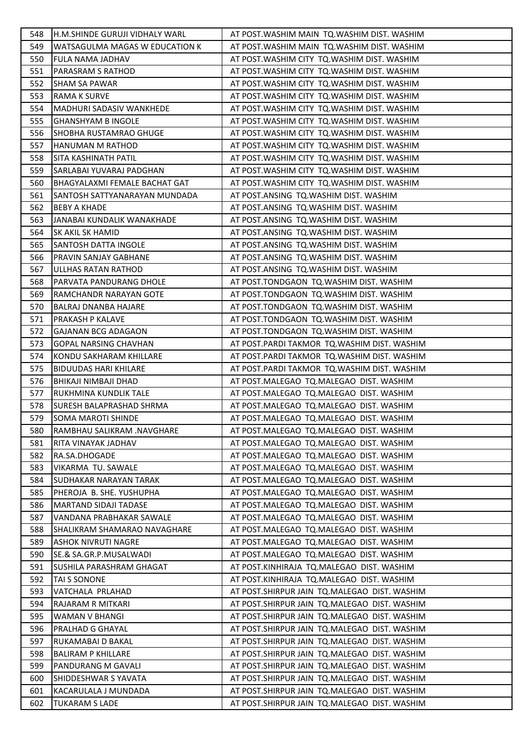| 548 | H.M.SHINDE GURUJI VIDHALY WARL  | AT POST. WASHIM MAIN TQ. WASHIM DIST. WASHIM   |
|-----|---------------------------------|------------------------------------------------|
| 549 | WATSAGULMA MAGAS W EDUCATION K  | AT POST. WASHIM MAIN TO. WASHIM DIST. WASHIM   |
| 550 | FULA NAMA JADHAV                | AT POST. WASHIM CITY TO. WASHIM DIST. WASHIM   |
| 551 | PARASRAM S RATHOD               | AT POST. WASHIM CITY TQ. WASHIM DIST. WASHIM   |
| 552 | <b>SHAM SA PAWAR</b>            | AT POST. WASHIM CITY TQ. WASHIM DIST. WASHIM   |
| 553 | RAMA K SURVE                    | AT POST. WASHIM CITY TQ. WASHIM DIST. WASHIM   |
| 554 | <b>MADHURI SADASIV WANKHEDE</b> | AT POST. WASHIM CITY TO. WASHIM DIST. WASHIM   |
| 555 | <b>GHANSHYAM B INGOLE</b>       | AT POST. WASHIM CITY TO. WASHIM DIST. WASHIM   |
| 556 | SHOBHA RUSTAMRAO GHUGE          | AT POST. WASHIM CITY TQ. WASHIM DIST. WASHIM   |
| 557 | HANUMAN M RATHOD                | AT POST. WASHIM CITY TO. WASHIM DIST. WASHIM   |
| 558 | SITA KASHINATH PATIL            | AT POST. WASHIM CITY TO. WASHIM DIST. WASHIM   |
| 559 | SARLABAI YUVARAJ PADGHAN        | AT POST. WASHIM CITY TQ. WASHIM DIST. WASHIM   |
| 560 | BHAGYALAXMI FEMALE BACHAT GAT   | AT POST. WASHIM CITY TO. WASHIM DIST. WASHIM   |
| 561 | SANTOSH SATTYANARAYAN MUNDADA   | AT POST.ANSING TQ.WASHIM DIST. WASHIM          |
| 562 | <b>BEBY A KHADE</b>             | AT POST.ANSING TQ.WASHIM DIST. WASHIM          |
| 563 | JANABAI KUNDALIK WANAKHADE      | AT POST.ANSING TQ.WASHIM DIST. WASHIM          |
| 564 | SK AKIL SK HAMID                | AT POST.ANSING TQ.WASHIM DIST. WASHIM          |
| 565 | SANTOSH DATTA INGOLE            | AT POST.ANSING TQ.WASHIM DIST. WASHIM          |
| 566 | PRAVIN SANJAY GABHANE           | AT POST.ANSING TQ.WASHIM DIST. WASHIM          |
| 567 | ULLHAS RATAN RATHOD             | AT POST.ANSING TQ.WASHIM DIST. WASHIM          |
| 568 | PARVATA PANDURANG DHOLE         | AT POST.TONDGAON TQ.WASHIM DIST. WASHIM        |
| 569 | RAMCHANDR NARAYAN GOTE          | AT POST.TONDGAON TQ.WASHIM DIST. WASHIM        |
| 570 | BALRAJ DNANBA HAJARE            | AT POST.TONDGAON TQ.WASHIM DIST. WASHIM        |
| 571 | PRAKASH P KALAVE                | AT POST.TONDGAON TQ.WASHIM DIST. WASHIM        |
| 572 | <b>GAJANAN BCG ADAGAON</b>      | AT POST.TONDGAON TQ.WASHIM DIST. WASHIM        |
| 573 | <b>GOPAL NARSING CHAVHAN</b>    | AT POST.PARDI TAKMOR TQ.WASHIM DIST. WASHIM    |
| 574 | KONDU SAKHARAM KHILLARE         | AT POST.PARDI TAKMOR TQ.WASHIM DIST. WASHIM    |
| 575 | <b>BIDUUDAS HARI KHILARE</b>    | AT POST.PARDI TAKMOR TQ.WASHIM DIST. WASHIM    |
| 576 | BHIKAJI NIMBAJI DHAD            | AT POST.MALEGAO TQ.MALEGAO DIST. WASHIM        |
| 577 | RUKHMINA KUNDLIK TALE           | AT POST.MALEGAO TQ.MALEGAO DIST. WASHIM        |
| 578 | SURESH BALAPRASHAD SHRMA        | AT POST.MALEGAO TQ.MALEGAO DIST. WASHIM        |
| 579 | <b>SOMA MAROTI SHINDE</b>       | AT POST.MALEGAO TQ.MALEGAO DIST. WASHIM        |
| 580 | IRAMBHAU SALIKRAM .NAVGHARE     | AT POST.MALEGAO TQ.MALEGAO DIST. WASHIM        |
| 581 | RITA VINAYAK JADHAV             | AT POST.MALEGAO TQ.MALEGAO DIST. WASHIM        |
| 582 | RA.SA.DHOGADE                   | AT POST.MALEGAO TQ.MALEGAO DIST. WASHIM        |
| 583 | VIKARMA TU. SAWALE              | AT POST.MALEGAO TQ.MALEGAO DIST. WASHIM        |
| 584 | <b>SUDHAKAR NARAYAN TARAK</b>   | AT POST.MALEGAO TQ.MALEGAO DIST. WASHIM        |
| 585 | PHEROJA B. SHE. YUSHUPHA        | AT POST.MALEGAO TQ.MALEGAO DIST. WASHIM        |
| 586 | <b>MARTAND SIDAJI TADASE</b>    | AT POST.MALEGAO TQ.MALEGAO DIST. WASHIM        |
| 587 | VANDANA PRABHAKAR SAWALE        | AT POST.MALEGAO TQ.MALEGAO DIST. WASHIM        |
| 588 | SHALIKRAM SHAMARAO NAVAGHARE    | AT POST.MALEGAO TQ.MALEGAO DIST. WASHIM        |
| 589 | ASHOK NIVRUTI NAGRE             | AT POST.MALEGAO TQ.MALEGAO DIST. WASHIM        |
| 590 | SE.& SA.GR.P.MUSALWADI          | AT POST.MALEGAO TQ.MALEGAO DIST. WASHIM        |
| 591 | SUSHILA PARASHRAM GHAGAT        | AT POST.KINHIRAJA TQ.MALEGAO DIST. WASHIM      |
| 592 | TAI S SONONE                    | AT POST.KINHIRAJA TQ.MALEGAO DIST. WASHIM      |
| 593 | VATCHALA PRLAHAD                | AT POST. SHIRPUR JAIN TO. MALEGAO DIST. WASHIM |
| 594 | RAJARAM R MITKARI               | AT POST. SHIRPUR JAIN TO. MALEGAO DIST. WASHIM |
| 595 | WAMAN V BHANGI                  | AT POST.SHIRPUR JAIN TQ.MALEGAO DIST. WASHIM   |
| 596 | PRALHAD G GHAYAL                | AT POST.SHIRPUR JAIN TQ.MALEGAO DIST. WASHIM   |
| 597 | RUKAMABAI D BAKAL               | AT POST.SHIRPUR JAIN TQ.MALEGAO DIST. WASHIM   |
| 598 | <b>BALIRAM P KHILLARE</b>       | AT POST.SHIRPUR JAIN TQ.MALEGAO DIST. WASHIM   |
| 599 | PANDURANG M GAVALI              | AT POST.SHIRPUR JAIN TQ.MALEGAO DIST. WASHIM   |
| 600 | SHIDDESHWAR S YAVATA            | AT POST.SHIRPUR JAIN TQ.MALEGAO DIST. WASHIM   |
| 601 | KACARULALA J MUNDADA            | AT POST.SHIRPUR JAIN TQ.MALEGAO DIST. WASHIM   |
| 602 | <b>TUKARAM S LADE</b>           | AT POST.SHIRPUR JAIN TQ.MALEGAO DIST. WASHIM   |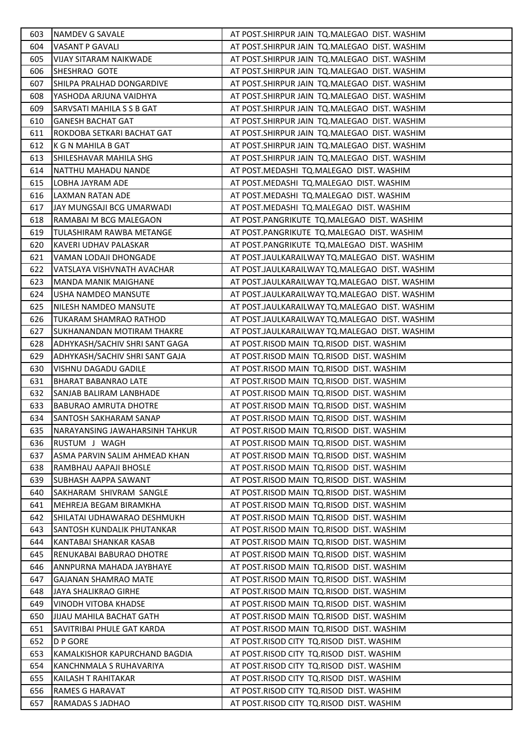| 603 | NAMDEV G SAVALE                   | AT POST.SHIRPUR JAIN TQ.MALEGAO DIST. WASHIM  |
|-----|-----------------------------------|-----------------------------------------------|
| 604 | <b>VASANT P GAVALI</b>            | AT POST.SHIRPUR JAIN TQ.MALEGAO DIST. WASHIM  |
| 605 | VIJAY SITARAM NAIKWADE            | AT POST.SHIRPUR JAIN TQ.MALEGAO DIST. WASHIM  |
| 606 | SHESHRAO GOTE                     | AT POST.SHIRPUR JAIN TQ.MALEGAO DIST. WASHIM  |
| 607 | SHILPA PRALHAD DONGARDIVE         | AT POST.SHIRPUR JAIN TQ.MALEGAO DIST. WASHIM  |
| 608 | YASHODA ARJUNA VAIDHYA            | AT POST.SHIRPUR JAIN TQ.MALEGAO DIST. WASHIM  |
| 609 | SARVSATI MAHILA S S B GAT         | AT POST.SHIRPUR JAIN TQ.MALEGAO DIST. WASHIM  |
| 610 | <b>GANESH BACHAT GAT</b>          | AT POST.SHIRPUR JAIN TQ.MALEGAO DIST. WASHIM  |
| 611 | ROKDOBA SETKARI BACHAT GAT        | AT POST.SHIRPUR JAIN TQ.MALEGAO DIST. WASHIM  |
| 612 | K G N MAHILA B GAT                | AT POST.SHIRPUR JAIN TQ.MALEGAO DIST. WASHIM  |
| 613 | SHILESHAVAR MAHILA SHG            | AT POST.SHIRPUR JAIN TQ.MALEGAO DIST. WASHIM  |
| 614 | NATTHU MAHADU NANDE               | AT POST.MEDASHI TQ.MALEGAO DIST. WASHIM       |
| 615 | LOBHA JAYRAM ADE                  | AT POST.MEDASHI TQ.MALEGAO DIST. WASHIM       |
| 616 | LAXMAN RATAN ADE                  | AT POST.MEDASHI TQ.MALEGAO DIST. WASHIM       |
| 617 | JAY MUNGSAJI BCG UMARWADI         | AT POST.MEDASHI TQ.MALEGAO DIST. WASHIM       |
| 618 | RAMABAI M BCG MALEGAON            | AT POST.PANGRIKUTE TQ.MALEGAO DIST. WASHIM    |
| 619 | TULASHIRAM RAWBA METANGE          | AT POST.PANGRIKUTE TQ.MALEGAO DIST. WASHIM    |
| 620 | KAVERI UDHAV PALASKAR             | AT POST.PANGRIKUTE TQ.MALEGAO DIST. WASHIM    |
| 621 | VAMAN LODAJI DHONGADE             | AT POST.JAULKARAILWAY TQ.MALEGAO DIST. WASHIM |
| 622 | VATSLAYA VISHVNATH AVACHAR        | AT POST.JAULKARAILWAY TQ.MALEGAO DIST. WASHIM |
| 623 | <b>MANDA MANIK MAIGHANE</b>       | AT POST.JAULKARAILWAY TQ.MALEGAO DIST. WASHIM |
| 624 | USHA NAMDEO MANSUTE               | AT POST.JAULKARAILWAY TQ.MALEGAO DIST. WASHIM |
| 625 | NILESH NAMDEO MANSUTE             | AT POST.JAULKARAILWAY TQ.MALEGAO DIST. WASHIM |
| 626 | TUKARAM SHAMRAO RATHOD            | AT POST.JAULKARAILWAY TQ.MALEGAO DIST. WASHIM |
| 627 | SUKHANANDAN MOTIRAM THAKRE        | AT POST.JAULKARAILWAY TQ.MALEGAO DIST. WASHIM |
| 628 | ADHYKASH/SACHIV SHRI SANT GAGA    | AT POST.RISOD MAIN TQ.RISOD DIST. WASHIM      |
| 629 | ADHYKASH/SACHIV SHRI SANT GAJA    | AT POST.RISOD MAIN TQ.RISOD DIST. WASHIM      |
| 630 | VISHNU DAGADU GADILE              | AT POST.RISOD MAIN TQ.RISOD DIST. WASHIM      |
| 631 | <b>BHARAT BABANRAO LATE</b>       | AT POST.RISOD MAIN TQ.RISOD DIST. WASHIM      |
| 632 | SANJAB BALIRAM LANBHADE           | AT POST.RISOD MAIN TQ.RISOD DIST. WASHIM      |
| 633 | BABURAO AMRUTA DHOTRE             | AT POST.RISOD MAIN TQ.RISOD DIST. WASHIM      |
| 634 | SANTOSH SAKHARAM SANAP            | AT POST.RISOD MAIN TQ.RISOD DIST. WASHIM      |
| 635 | NARAYANSING JAWAHARSINH TAHKUR    | AT POST.RISOD MAIN TQ.RISOD DIST. WASHIM      |
| 636 | RUSTUM J WAGH                     | AT POST.RISOD MAIN TQ.RISOD DIST. WASHIM      |
| 637 | ASMA PARVIN SALIM AHMEAD KHAN     | AT POST.RISOD MAIN TQ.RISOD DIST. WASHIM      |
| 638 | RAMBHAU AAPAJI BHOSLE             | AT POST.RISOD MAIN TQ.RISOD DIST. WASHIM      |
| 639 | SUBHASH AAPPA SAWANT              | AT POST.RISOD MAIN TQ.RISOD DIST. WASHIM      |
| 640 | SAKHARAM SHIVRAM SANGLE           | AT POST.RISOD MAIN TQ.RISOD DIST. WASHIM      |
| 641 | MEHREJA BEGAM BIRAMKHA            | AT POST.RISOD MAIN TQ.RISOD DIST. WASHIM      |
| 642 | SHILATAI UDHAWARAO DESHMUKH       | AT POST.RISOD MAIN TQ.RISOD DIST. WASHIM      |
| 643 | <b>SANTOSH KUNDALIK PHUTANKAR</b> | AT POST.RISOD MAIN TQ.RISOD DIST. WASHIM      |
| 644 | KANTABAI SHANKAR KASAB            | AT POST.RISOD MAIN TQ.RISOD DIST. WASHIM      |
| 645 | RENUKABAI BABURAO DHOTRE          | AT POST.RISOD MAIN TQ.RISOD DIST. WASHIM      |
| 646 | ANNPURNA MAHADA JAYBHAYE          | AT POST.RISOD MAIN TQ.RISOD DIST. WASHIM      |
| 647 | <b>GAJANAN SHAMRAO MATE</b>       | AT POST.RISOD MAIN TQ.RISOD DIST. WASHIM      |
| 648 | JAYA SHALIKRAO GIRHE              | AT POST.RISOD MAIN TQ.RISOD DIST. WASHIM      |
| 649 | VINODH VITOBA KHADSE              | AT POST.RISOD MAIN TQ.RISOD DIST. WASHIM      |
| 650 | <b>JIJAU MAHILA BACHAT GATH</b>   | AT POST.RISOD MAIN TQ.RISOD DIST. WASHIM      |
| 651 | SAVITRIBAI PHULE GAT KARDA        | AT POST.RISOD MAIN TQ.RISOD DIST. WASHIM      |
| 652 | D P GORE                          | AT POST.RISOD CITY TQ.RISOD DIST. WASHIM      |
| 653 | KAMALKISHOR KAPURCHAND BAGDIA     | AT POST.RISOD CITY TQ.RISOD DIST. WASHIM      |
| 654 | KANCHNMALA S RUHAVARIYA           | AT POST.RISOD CITY TQ.RISOD DIST. WASHIM      |
| 655 | KAILASH T RAHITAKAR               | AT POST.RISOD CITY TQ.RISOD DIST. WASHIM      |
| 656 | RAMES G HARAVAT                   | AT POST.RISOD CITY TQ.RISOD DIST. WASHIM      |
| 657 | RAMADAS S JADHAO                  | AT POST.RISOD CITY TQ.RISOD DIST. WASHIM      |